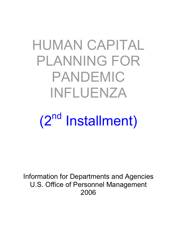# HUMAN CAPITAL PLANNING FOR PANDEMIC INFLUENZA

# (2<sup>nd</sup> Installment)

Information for Departments and Agencies U.S. Office of Personnel Management 2006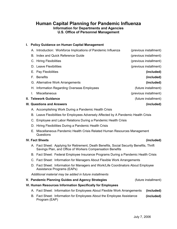## **Human Capital Planning for Pandemic Influenza Information for Departments and Agencies U.S. Office of Personnel Management**

**I. Policy Guidance on Human Capital Management** 

## A. Introduction: Workforce Implications of Pandemic Influenza (previous installment) B. Index and Quick Reference Guide (previous installment) C. Hiring Flexibilities (previous installment) D. Leave Flexibilities (previous installment) E. Pay Flexibilities **(included)** F. Benefits **(included)** G. Alternative Work Arrangements **(included)** H. Information Regarding Overseas Employees (future installment) I. Miscellaneous (previous installment) **II. Telework Guidance** (future installment) **III. Questions and Answers (included)** A. Accomplishing Work During a Pandemic Health Crisis B. Leave Flexibilities for Employees Adversely Affected by A Pandemic Health Crisis C. Employee and Labor Relations During a Pandemic Health Crisis D. Hiring Flexibilities During a Pandemic Health Crisis E. Miscellaneous Pandemic Health Crisis Related Human Resources Management Questions **IV. Fact Sheets (included)** A. Fact Sheet: Applying for Retirement, Death Benefits, Social Security Benefits, Thrift Savings Plan, and Office of Workers Compensation Benefits B. Fact Sheet: Federal Employee Insurance Programs During a Pandemic Health Crisis C. Fact Sheet: Information for Managers About Flexible Work Arrangements D. Fact Sheet: Information for Managers and Work/Life Coordinators About Employee Assistance Programs (EAPs) *Additional material may be added in future installments*  **V. Pandemic Planning Guides and Agency Strategies Example 20 (future installment) VI. Human Resources Information Specifically for Employees** A. Fact Sheet: Information for Employees About Flexible Work Arrangements **(included)** B. Fact Sheet: Information for Employees About the Employee Assistance Program (EAP) **(included)**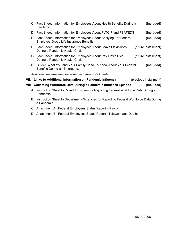|                                                                                                     | C. Fact Sheet: Information for Employees About Health Benefits During a<br>Pandemic                                  | (included)             |
|-----------------------------------------------------------------------------------------------------|----------------------------------------------------------------------------------------------------------------------|------------------------|
|                                                                                                     | D. Fact Sheet: Information for Employees About FLTCIP and FSAFEDS                                                    | (included)             |
|                                                                                                     | E. Fact Sheet: Information for Employees About Applying For Federal<br><b>Employee Group Life Insurance Benefits</b> | (included)             |
|                                                                                                     | F. Fact Sheet: Information for Employees About Leave Flexibilities<br>During a Pandemic Health Crisis                | (future installment)   |
|                                                                                                     | G. Fact Sheet: Information for Employees About Pay Flexibilities<br>During a Pandemic Health Crisis                  | (future installment)   |
|                                                                                                     | H. Guide: What You and Your Family Need To Know About Your Federal<br>Benefits During an Emergency                   | (included)             |
| Additional material may be added in future installments                                             |                                                                                                                      |                        |
|                                                                                                     | VII. Links to Additional Information on Pandemic Influenza                                                           | (previous installment) |
|                                                                                                     | VIII. Collecting Workforce Data During a Pandemic Influenza Episode                                                  | (included)             |
| A. Instruction Sheet to Payroll Providers for Reporting Federal Workforce Data During a<br>Pandemic |                                                                                                                      |                        |
|                                                                                                     | B. Instruction Sheet to Departments/Agencies for Reporting Federal Workforce Data During<br>a Pandemic               |                        |

- C. Attachment A: Federal Employees Status Report Payroll
- D. Attachment B: Federal Employees Status Report –Telework and Deaths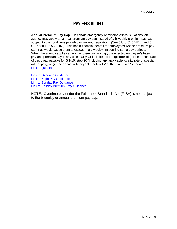## **Pay Flexibilities**

**Annual Premium Pay Cap** – In certain emergency or mission critical situations, an agency may apply an annual premium pay cap instead of a biweekly premium pay cap, subject to the conditions provided in law and regulation. (See 5 U.S.C. 5547(b) and 5 CFR 550.106-550.107.) This has a financial benefit for employees whose premium pay earnings would cause them to exceed the biweekly limit during some pay periods. When the agency applies an annual premium pay cap, the affected employee's basic pay and premium pay in any calendar year is limited to the **greater of** (1) the annual rate of basic pay payable for GS-15, step 10 (including any applicable locality rate or special rate of pay), or (2) the annual rate payable for level V of the Executive Schedule. [Link to guidance](http://www.opm.gov/oca/pay/HTML/06GSCap.asp)

[Link to Overtime Guidance](http://www.opm.gov/oca/pay/HTML/FACTOT.asp) [Link to Night Pay Guidance](http://www.opm.gov/oca/pay/HTML/NIGHT.asp) [Link to Sunday Pay Guidance](http://www.opm.gov/oca/worksch/HTML/sunday.htm) [Link to Holiday Premium Pay Guidance](http://www.opm.gov/oca/WORKSCH/HTML/HOLIDAY.asp)

NOTE: Overtime pay under the Fair Labor Standards Act (FLSA) is not subject to the biweekly or annual premium pay cap.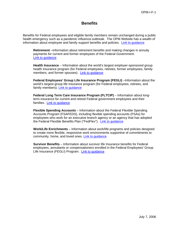## **Benefits**

Benefits for Federal employees and eligible family members remain unchanged during a public health emergency such as a pandemic influenza outbreak. The OPM Website has a wealth of information about employee and family support benefits and policies. [Link to guidance](http://www.opm.gov/Employment_and_Benefits/EmployeeSupport2.asp)

**Retirement** –Information about retirement benefits and making changes in annuity payments for current and former employees of the Federal Government. [Link to guidance](http://www.opm.gov/retire/)

**Health Insurance** – Information about the world's largest employer-sponsored group health insurance program (for Federal employees, retirees, former employees, family members, and former spouses). [Link to guidance](http://www.opm.gov/insure/health/)

**Federal Employees' Group Life Insurance Program (FEGLI)** –Information about the world's largest group life insurance program (for Federal employees, retirees, and family members). [Link to guidance](http://www.opm.gov/insure/life/) 

**Federal Long Term Care Insurance Program (FLTCIP)** – Information about longterm insurance for current and retired Federal government employees and their families. [Link to guidance](http://www.opm.gov/insure/ltc/) 

**Flexible Spending Accounts** – Information about the Federal Flexible Spending Accounts Program (FSAFEDS), including flexible spending accounts (FSAs) for employees who work for an executive branch agency or an agency that has adopted the Federal Flexible Benefits Plan ("FedFlex"). [Link to guidance](http://www.opm.gov/insure/pretax/fsa/) 

**Work/Life Enrichments** – Information about work/life programs and policies designed to create more flexible, responsive work environments supportive of commitments to community, home, and loved ones. [Link to guidance](http://www.opm.gov/Employment_and_Benefits/worklife/)

**Survivor Benefits** – Information about survivor life Insurance benefits for Federal employees, annuitants or compensationers enrolled in the Federal Employees' Group Life Insurance (FEGLI) Program. [Link to guidance](http://www.opm.gov/Employment_and_Benefits/Families_Deceased.asp)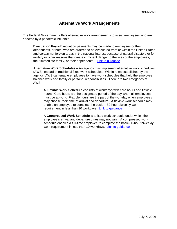## **Alternative Work Arrangements**

The Federal Government offers alternative work arrangements to assist employees who are affected by a pandemic influenza:

**Evacuation Pay** – Evacuation payments may be made to employees or their dependents, or both, who are ordered to be evacuated from or within the United States and certain nonforeign areas in the national interest because of natural disasters or for military or other reasons that create imminent danger to the lives of the employees, their immediate family, or their dependents. [Link to guidance](http://www.opm.gov/oca/pay/HTML/EVAC.htm)

**Alternative Work Schedules** – An agency may implement alternative work schedules (AWS) instead of traditional fixed work schedules. Within rules established by the agency, AWS can enable employees to have work schedules that help the employee balance work and family or personal responsibilities. There are two categories of AWS:

 A **Flexible Work Schedule** consists of workdays with core hours and flexible hours. Core hours are the designated period of the day when all employees must be at work. Flexible hours are the part of the workday when employees may choose their time of arrival and departure. A flexible work schedule may enable an employee to complete the basic 80-hour biweekly work requirement in less than 10 workdays. [Link to guidance](http://www.opm.gov/oca/WORKSCH/HTML/AWSFWS.asp) 

 A **Compressed Work Schedule** is a fixed work schedule under which the employee's arrival and departure times may not vary. A compressed work schedule enables a full-time employee to complete the basic 80-hour biweekly work requirement in less than 10 workdays. [Link to guidance](http://www.opm.gov/oca/WORKSCH/HTML/AWSCWS.asp)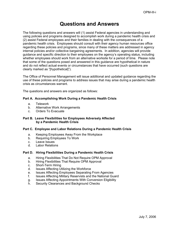## **Questions and Answers**

The following questions and answers will (1) assist Federal agencies in understanding and using policies and programs designed to accomplish work during a pandemic health crisis and (2) assist Federal employees and their families in dealing with the consequences of a pandemic health crisis. Employees should consult with their agency human resources office regarding these policies and programs, since many of these matters are addressed in agency internal policies and/or collective bargaining agreements. In addition, agencies will provide guidance and specific direction to their employees on the agency's operating status, including whether employees should work from an alternative worksite for a period of time. Please note that some of the questions posed and answered in this guidance are hypothetical in nature and do not reflect actual events or circumstances that have occurred (such questions are clearly marked as "[hypothetical]").

The Office of Personnel Management will issue additional and updated guidance regarding the use of these policies and programs to address issues that may arise during a pandemic health crisis as circumstances warrant.

The questions and answers are organized as follows:

#### **Part A. Accomplishing Work During a Pandemic Health Crisis**

- a. Telework
- b. Alternative Work Arrangements
- c. Orders To Evacuate

#### **Part B. Leave Flexibilities for Employees Adversely Affected by a Pandemic Health Crisis**

#### **Part C. Employee and Labor Relations During a Pandemic Health Crisis**

- a. Keeping Employees Away From the Workplace
- b. Requiring Employees To Work
- c. Leave Issues
- d. Labor Relations

#### **Part D. Hiring Flexibilities During a Pandemic Health Crisis**

- a. Hiring Flexibilities That Do Not Require OPM Approval
- b. Hiring Flexibilities That Require OPM Approval
- c. Short-Term Hiring
- d. Issues Affecting Utilizing the Workforce
- e. Issues Affecting Employees Separating From Agencies
- f. Issues Affecting Military Reservists and the National Guard
- g. Issues Affecting Appointments With Conversion Eligibility
- h. Security Clearances and Background Checks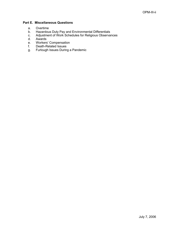#### **Part E. Miscellaneous Questions**

- a. Overtime
- b. Hazardous Duty Pay and Environmental Differentials
- c. Adjustment of Work Schedules for Religious Observances
- d. Awards
- e. Workers' Compensation
- f. Death-Related Issues
- g. Furlough Issues During a Pandemic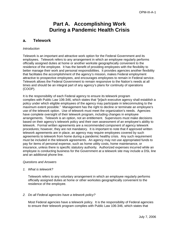## **Part A. Accomplishing Work During a Pandemic Health Crisis**

### **a. Telework**

#### *Introduction*

Telework is an important and attractive work option for the Federal Government and its employees. Telework refers to any arrangement in which an employee regularly performs officially assigned duties at home or another worksite geographically convenient to the residence of the employee. It has the benefit of providing employees with the flexibility to better manage their work and personal responsibilities. It provides agencies another flexibility that facilitates the accomplishment of the agency's mission, makes Federal employment attractive to prospective employees, and encourages employees to remain in Federal service. Telework allows the Federal Government to remain responsive to the Nation's needs at all times and should be an integral part of any agency's plans for continuity of operations (COOP).

It is the responsibility of each Federal agency to ensure its telework program complies with Public Law 106-346, which states that "[e]ach executive agency shall establish a policy under which eligible employees of the agency may participate in telecommuting to the maximum extent possible." Management has the right to decline or terminate an employee's use of the telework option. Use of telework must meet the organization's needs. Agencies have complete oversight of their telework program, including changes in employee arrangements. Telework is an option, not an entitlement. Supervisors must make decisions based on their agency's telework policy and their own assessment of an employee's ability to telework. Formal written agreements are a recommended component of agency telework procedures; however, they are not mandatory. It is important to note that if approved written telework agreements are in place, an agency may require employees covered by such agreements to telework from home during a pandemic healthy crisis. Any such requirement must be included in the telework agreements. An agency may not use appropriated funds to pay for items of personal expense, such as home utility costs, home maintenance, or insurance, unless there is specific statutory authority*.* Authorized expenses incurred while an employee is conducting business for the Government at a telework site may include a DSL line and an additional phone line.

#### *Questions and Answers*

#### *1. What is telework?*

Telework refers to any voluntary arrangement in which an employee regularly performs officially assigned duties at home or other worksites geographically convenient to the residence of the employee.

#### *2. Do all Federal agencies have a telework policy?*

Most Federal agencies have a telework policy. It is the responsibility of Federal agencies to ensure their telework program complies with Public Law 106-346, which states that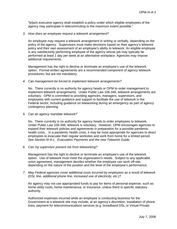"[e]ach executive agency shall establish a policy under which eligible employees of the agency may participate in telecommuting to the maximum extent possible."

#### *3. How does an employee request a telework arrangement?*

An employee may request a telework arrangement in writing or verbally, depending on the policy of the agency. Supervisors must make decisions based on their agency's telework policy and their own assessment of an employee's ability to telework. An eligible employee is any satisfactorily performing employee of the agency whose job may typically be performed at least 1 day per week at an alternative workplace. Agencies may impose additional requirements.

Management has the right to decline or terminate an employee's use of the telework option. Formal written agreements are a recommended component of agency telework procedures, but are not mandatory.

#### *4. Can management be forced to implement telework arrangements?*

No. There currently is no authority for agency heads or OPM to order management to implement telework arrangements. Under Public Law 106-346, telework arrangements are voluntary. OPM is committed to providing agencies, managers, supervisors, and employees with current guidance and support to facilitate the use of telework in the Federal sector, including guidance on teleworking during an emergency as part of agency contingency planning.

*5. Can an agency mandate telework?*

No. There currently is no authority for agency heads to order employees to telework. Under Public Law 106-346, telework is voluntary. However, OPM encourages agencies to expand their telework policies and agreements in preparation for a possible pandemic health crisis. In a pandemic health crisis, it may be most appropriate for agencies to direct employees to evacuate their regular worksites and work from home for a limited period*. See Section III-A-c, Evacuation Payments and the new Telework Guide*.

*6. Can my supervisor prevent me from teleworking?* 

Management has the right to decline or terminate an employee's use of the telework option. Use of telework must meet the organization's needs. Subject to any applicable union agreement, management decides whether the employee can work off-site, depending on the nature of the position and the level of the employee's performance.

*7. May Federal agencies cover additional costs incurred by employees as a result of telework (DSL line, additional phone line, increased use of electricity, etc.)?*

An agency may not use appropriated funds to pay for items of personal expense, such as home utility costs, home maintenance, or insurance, unless there is specific statutory authority*.* 

Authorized expenses incurred while an employee is conducting business for the Government at a telework site may include, at an agency's discretion, installation of phone lines, payment for telecommunications services (e.g. broadband DSL or Virtual Private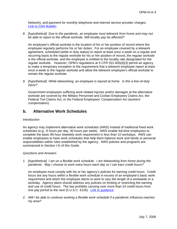Network), and payment for monthly telephone and internet service provider charges. [Link to GSA Bulletin](http://www.gsa.gov/Portal/gsa/ep/contentView.do?P=VXX&contentld=20615&contentType=GSA_DOCUMENT)

*8. [hypothetical] Due to the pandemic, an employee must telework from home and may not be able to report to the official worksite. Will locality pay be affected?* 

An employee's official worksite is the location of his or her position of record where the employee regularly performs his or her duties. For an employee covered by a telework agreement, scheduled (while in duty status) to report at least once a week on a regular and recurring basis to the regular worksite for his or her position of record, the regular worksite is the official worksite, and the employee is entitled to the locality rate designated for the regular worksite. However, OPM's regulations at 5 CFR 531.605(d)(3) permit an agency to make a temporary exception to the requirement that a telework employee report at least once a week to the regular worksite and allow the telework employee's official worksite to remain the regular worksite.

*9. [hypothetical] While teleworking, an employee is injured at home. Is this a line-of-duty injury?* 

 Government employees suffering work-related injuries and/or damages at the alternative worksite are covered by the Military Personnel and Civilian Employees Claims Act, the Federal Tort Claims Act, or the Federal Employees' Compensation Act (workers' compensation).

## **b. Alternative Work Schedules**

#### *Introduction*

An agency may implement alternative work schedules (AWS) instead of traditional fixed work schedules (e.g., 8 hours per day, 40 hours per week). AWS enable full-time employees to complete the basic 80-hour biweekly work requirement in less than 10 workdays. AWS can enable employees to have work schedules that help them balance work and family or personal responsibilities within rules established by the agency. AWS policies and programs are summarized in Section I-G of this Guide.

#### *Questions and Answers*

*1. [hypothetical] I am on a flexible work schedule. I am teleworking from home during the pandemic. May I choose to work extra hours each day so I can earn credit hours?* 

 An employee must comply with his or her agency's policies for earning credit hours. Credit hours are any hours within a flexible work schedule in excess of an employee's basic work requirement and which the employee elects to work to vary the length of a workweek or a workday. Agency plans should address any policies on limiting or restricting the earning and use of credit hours. The law prohibits carrying over more than 24 credit hours from one pay period to the next (5 U.S.C. 6126). [Link to guidance](http://www.opm.gov/oca/worksch/HTML/awsfws.asp)

*2. Will I be able to continue working a flexible work schedule if a pandemic influenza reaches my area?*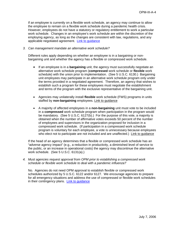If an employee is currently on a flexible work schedule, an agency may continue to allow the employee to remain on a flexible work schedule during a pandemic health crisis. However, employees do not have a statutory or regulatory entitlement to work a particular work schedule. Changes in an employee's work schedule are within the discretion of the employing agency, as long as the changes are consistent with law, regulations, and any applicable negotiated agreement. [Link to guidance](http://www.opm.gov/oca/worksch/HTML/awsfws.asp)

#### *3. Can management mandate an alternative work schedule?*

Different rules apply depending on whether an employee is in a bargaining or nonbargaining unit and whether the agency has a flexible or compressed work schedule.

- If an employee is in a **bargaining** unit, the agency must successfully negotiate an alternative work schedule program (**compressed** work schedule or **flexible** work schedule) with the union prior to implementation. (See 5 U.S.C. 6130.) Bargaining unit employees may participate in an alternative work schedule program only under the terms provided in a negotiated agreement. Therefore, an agency that wishes to establish such a program for these employees must negotiate the establishment and terms of the program with the exclusive representative of the bargaining unit.
- Agencies may unilaterally install **flexible** work schedule (FWS) programs in units staffed by **non-bargaining** employees. [Link to guidance](http://www.opm.gov/oca/worksch/HTML/awsfws.asp)
- A majority of affected employees in a **non-bargaining** unit must vote to be included in a **compressed** work schedule program when participation in the program would be mandatory. (See 5 U.S.C. 6127(b).) For the purpose of this vote, a majority is obtained when the number of affirmative votes exceeds 50 percent of the number of employees and supervisors in the organization proposed for inclusion in a compressed work schedule. (If participation in a compressed work schedule program is voluntary for each employee, a vote is unnecessary because employees who elect not to participate are not included and are unaffected.) [Link to guidance](http://www.opm.gov/oca/aws/html/comp.asp)

If the head of an agency determines that a flexible or compressed work schedule has an "adverse agency impact" (e.g., a reduction in productivity, a diminished level of service to the public, or an increase in operational costs) the agency may discontinue the alternative work schedule. (See 5 U.S.C. 6131(a).)

#### *4. Must agencies request approval from OPM prior to establishing a compressed work schedule or flexible work schedule to deal with a pandemic influenza?*

 No. Agencies do not need OPM approval to establish flexible or compressed work schedules authorized by 5 U.S.C. 6122 and/or 6127. We encourage agencies to prepare for all emergency situations and address the use of compressed or flexible work schedules in their contingency plans. Link to quidance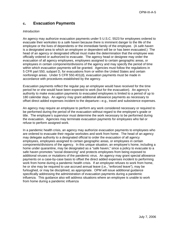## **c. Evacuation Payments**

#### *Introduction*

An agency may authorize evacuation payments under 5 U.S.C. 5523 for employees ordered to evacuate their worksites to a *safe haven* because there is imminent danger to the life of the employee or the lives of dependents or the immediate family of the employee. (A *safe haven* is a designated area to which an employee or dependent will be or has been evacuated.) The head of an agency or designated official must make the determination that the employee was officially ordered or authorized to evacuate. The agency head or designee may order the evacuation of all agency employees, employees assigned to certain geographic areas, or employees in certain components/divisions of the agency and may specify the period of time within which evacuation payments will be granted. Agencies must follow the regulations in 5 CFR part 550, subpart D, for evacuations from or within the United States and certain nonforeign areas. Under 5 CFR 550.401(d), evacuation payments must be made in accordance with procedures established by the agency.

Evacuation payments reflect the regular pay an employee would have received for the time period he or she would have been expected to work (but for the evacuation). An agency's authority to make evacuation payments to evacuated employees is limited to a period of up to 180 calendar days. An agency may grant additional allowance payments as necessary to offset direct added expenses incident to the departure—e.g., travel and subsistence expenses.

An agency may require an employee to perform any work considered necessary or required to be performed during the period of the evacuation without regard to the employee's grade or title. The employee's supervisor must determine the work necessary to be performed during the evacuation. Agencies may terminate evacuation payments for employees who fail or refuse to perform assigned work.

In a pandemic health crisis, an agency may authorize evacuation payments to employees who are ordered to evacuate their regular worksites and work from home. The head of an agency may delegate authority to a designated official to order the evacuation of all agency employees, employees assigned to certain geographic areas, or employees in certain components/divisions of the agency. In this unique situation, an employee's home, including a home under quarantine, may be designated as a "safe haven," since a policy to evacuate to a safe haven promotes "social distancing" and protects employees from being exposed to additional viruses or mutations of the pandemic virus. An agency may grant special allowance payments on a case-by-case basis to offset the direct added expenses incident to performing work from home during a pandemic health crisis. If an employee refuses to work from home, he or she may be required to use accrued annual leave (i.e., "enforced leave"), may be furloughed, or may be disciplined, as appropriate. OPM will issue additional guidance specifically addressing the administration of evacuation payments during a pandemic influenza. This guidance also will address situations where an employee is unable to work from home during a pandemic influenza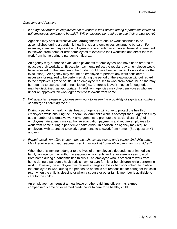#### *Questions and Answers*

*1. If an agency orders its employees not to report to their offices during a pandemic influenza, will employees continue to be paid? Will employees be required to use their annual leave?* 

 Agencies may offer alternative work arrangements to ensure work continues to be accomplished during a pandemic health crisis and employees continue to be paid. For example, agencies may direct employees who are under an approved telework agreement to telework from home or order employees to evacuate their worksites and direct them to work from home during a pandemic influenza.

An agency may authorize evacuation payments for employees who have been ordered to evacuate their worksites. Evacuation payments reflect the regular pay an employee would have received for the time period he or she would have been expected to work (but for the evacuation). An agency may require an employee to perform any work considered necessary or required to be performed during the period of the evacuation without regard to the employee's grade or title. If an employee refuses to work from home, he or she may be required to use accrued annual leave (i.e., "enforced leave"), may be furloughed, or may be disciplined, as appropriate. In addition, agencies may direct employees who are under an approved telework agreement to telework from home.

*2. Will agencies release employees from work to lessen the probability of significant numbers of employees catching the flu?* 

During a pandemic health crisis, heads of agencies will strive to protect the health of employees while ensuring the Federal Government's work is accomplished. Agencies may use a number of alternative work arrangements to promote the "social distancing" of employees. An agency may authorize evacuation payments and require employees to work from home during a pandemic health crisis. In addition, an agency may require employees with approved telework agreements to telework from home. (See question #1, above.)

*3. [hypothetical] My office is open, but the schools are closed and I cannot find child care. May I receive evacuation payments so I may work at home while caring for my children?* 

When there is imminent danger to the lives of an employee's dependents or immediate family, an agency may authorize evacuation payments and require employees to work from home during a pandemic health crisis. An employee who is ordered to work from home during a pandemic health crisis may not care for his or her children while performing work. However, the employee may request changes in his or her work schedule to allow the employee to work during the periods he or she is not responsible for caring for the child (e.g., when the child is sleeping or when a spouse or other family member is available to care for the child).

An employee may request annual leave or other paid time off, such as earned compensatory time off or earned credit hours to care for a healthy child.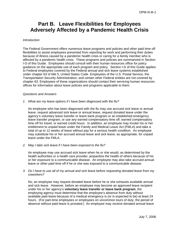# **Part B. Leave Flexibilities for Employees Adversely Affected by a Pandemic Health Crisis**

#### *Introduction*

The Federal Government offers numerous leave programs and policies and other paid time off flexibilities to assist employees prevented from reporting for work and performing their duties because of illness caused by a pandemic health crisis or caring for a family member who is affected by a pandemic health crisis. These programs and policies are summarized in Section I-D of this Guide. Employees should consult with their human resources office for policy guidance on the appropriate use of each program and policy. Section I-D of this Guide applies to Federal employees covered by the Federal annual and sick leave systems established under chapter 63 of title 5, United States Code. Employees of the U.S. Postal Service, the Transportation Security Administration, and certain other Federal entities are not covered by chapter 63. Employees of these organizations should contact their servicing human resources offices for information about leave policies and programs applicable to them.

#### *Questions and Answers*

*1. What are my leave options if I have been diagnosed with the flu?* 

 An employee who has been diagnosed with the flu may use accrued sick leave or annual leave, request advanced sick leave or annual leave, request donated leave under the agency's voluntary leave transfer or leave bank program or an established emergency leave transfer program, or use any earned compensatory time off, earned compensatory time off for travel, or earned credit hours. In addition, an employee may invoke his or her entitlement to unpaid leave under the Family and Medical Leave Act (FMLA) and take a total of up to 12 weeks of leave without pay for a serious health condition. An employee may substitute his or her accrued annual leave and sick leave, as appropriate, for unpaid leave under the FMLA.

*2. May I take sick leave if I have been exposed to the flu?* 

 An employee may use accrued sick leave when he or she would, as determined by the health authorities or a health care provider, jeopardize the health of others because of his or her exposure to a communicable disease. An employee may also take accrued annual leave or other paid time off if he or she was exposed to a communicable disease.

*3. Do I have to use all of my annual and sick leave before requesting donated leave from my coworkers?* 

 No, an employee may request donated leave before he or she exhausts available annual and sick leave. However, before an employee may become an approved leave recipient under his or her agency's **voluntary leave transfer or leave bank program**, the employing agency must determine that the employee's absence from duty without available paid leave because of a medical emergency is (or is expected to be) at least 24 hours. (For part-time employees or employees on uncommon tours of duty, the period of absence without paid leave is prorated.) An employee may receive donated annual leave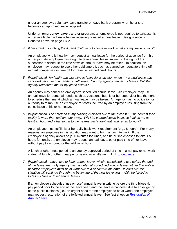under an agency's voluntary leave transfer or leave bank program when he or she becomes an approved leave recipient.

 Under an **emergency leave transfer program**, an employee is not required to exhaust his or her available paid leave before receiving donated annual leave. See guidance on Donated Leave on page I-D-2.

*4. If I'm afraid of catching the flu and don't want to come to work, what are my leave options?* 

 An employee who is healthy may request annual leave for the period of absence from his or her job. An employee has a right to take annual leave, subject to the right of the supervisor to schedule the time at which annual leave may be taken. In addition, an employee may request to use other paid time off, such as earned compensatory time off, earned compensatory time off for travel, or earned credit hours.

*5. [hypothetical] My family was planning to leave for a vacation when my annual leave was canceled because of a pandemic influenza. Can my agency cancel my leave? Will the agency reimburse me for my plane tickets?* 

 An agency may cancel an employee's scheduled annual leave. An employee may use annual leave for personal needs, such as vacations, but his or her supervisor has the right to schedule the time at which annual leave may be taken. An agency has no obligation or authority to reimburse an employee for costs incurred by an employee resulting from the cancellation of his or her leave.

*6*. *[hypothetical] The cafeteria in my building is closed due to the avian flu. The nearest food facility is more than half an hour away. Will I be charged leave because it takes me at least an hour and a half to get to the nearest restaurant, eat, and return to work?* 

 An employee must fulfill his or her daily basic work requirement (e.g., 8 hours). For many reasons, an employee in this situation may want to bring a lunch to work. If the employee's agency allows only 30 minutes for lunch, and he or she chooses to take 1.5 hours for lunch, the employee may request annual leave, other paid time off, or leave without pay to account for the additional hour.

A lunch or other meal period is an agency approved period of time in a nonpay or nonwork status. A lunch or other meal period is not an entitlement. [Link to guidance](http://www.opm.gov/oca/worksch/HTML/LUNCH.HTM) 

*7. [hypothetical] I have "use or lose" annual leave, which I scheduled to use before the end of the leave year. My agency has canceled all scheduled annual leave until further notice because employees must be at work due to a pandemic influenza. It looks like this situation will continue through the beginning of the new leave year. Will I be forced to forfeit my "use or lose" annual leave?* 

 If an employee schedules "use or lose" annual leave in writing before the third biweekly pay period prior to the end of the leave year, and the leave is canceled due to an exigency of the public business (i.e., an urgent need for the employee to be at work), the employee may request restoration of the forfeited annual leave. See fact sheet on *[Restoration of](http://www.opm.gov/oca/leave/HTML/RESTORE.asp)  [Annual Leave](http://www.opm.gov/oca/leave/HTML/RESTORE.asp)*.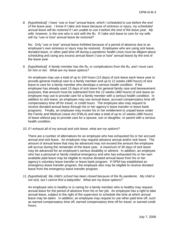*8. [hypothetical] I have "use or lose" annual leave, which I scheduled to use before the end of the leave year. I know if I take sick leave because of sickness or injury, my scheduled annual leave will be restored if I am unable to use it before the end of the leave year. My wife, however, is the one who is sick with the flu. If I take sick leave to care for my wife, will my "use or lose" annual leave be restored?* 

 No. Only "use or lose" annual leave forfeited because of a period of absence due to an employee's own sickness or injury may be restored. Employees who are using sick leave, donated leave, or other paid time off during a pandemic health crisis must be diligent about scheduling and using any excess annual leave ("use or lose" annual leave) by the end of the leave year

*9. [hypothetical] A family member has the flu, or complications from the flu, and I must care for him or her. What are my leave options?* 

 An employee may use a total of up to 104 hours (13 days) of sick leave each leave year to provide general medical care to a family member and up to 12 weeks (480 hours) of sick leave to care for a family member who develops a serious health condition. If the employee has already used 13 days of sick leave for general family care and bereavement purposes, that amount must be subtracted from the 12 weeks (480 hours) of sick leave an employee may use to provide care for a family member with a serious health condition. In addition to sick leave, an employee may use annual leave, accrued compensatory time off, compensatory time off for travel, or credit hours. The employee also may request to receive donated annual leave through his or her agency's leave transfer or leave bank programs. Finally, an employee may invoke his or her entitlement to unpaid leave under the Family and Medical Leave Act (FMLA) and take a total of up to 12 weeks (480 hours) of leave without pay to provide care for a spouse, son or daughter, or parent with a serious health condition.

*10. If I exhaust all of my annual and sick leave, what are my options?* 

There are a number of alternatives for an employee who has exhausted his or her accrued annual and sick leave. An employee may request advance annual and/or sick leave. The amount of annual leave that may be advanced may not exceed the amount the employee will accrue during the remainder of the leave year. A maximum of 30 days of sick leave may be advanced for an employee's serious disability or ailment. In addition, an employee who has a personal or family medical emergency and who has exhausted his or her own available paid leave may be eligible to receive donated annual leave from his or her agency's voluntary leave transfer or leave bank program. If OPM has established an emergency leave transfer program, the employee also may be eligible to receive donated leave from the emergency leave transfer program.

*11. [hypothetical] My child's school has been closed because of the flu pandemic. My child is not sick, but I cannot find a babysitter. What are my leave options?* 

 An employee who is healthy or is caring for a family member who is healthy may request annual leave for the period of absence from his or her job. An employee has a right to take annual leave, subject to the right of the supervisor to schedule the time at which annual leave may be taken. In addition, an employee may request to use other paid time off, such as earned compensatory time off, earned compensatory time off for travel, or earned credit hours.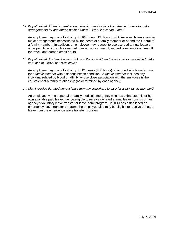*12. [hypothetical] A family member died due to complications from the flu. I have to make arrangements for and attend his/her funeral. What leave can I take?* 

 An employee may use a total of up to 104 hours (13 days) of sick leave each leave year to make arrangements necessitated by the death of a family member or attend the funeral of a family member. In addition, an employee may request to use accrued annual leave or other paid time off, such as earned compensatory time off, earned compensatory time off for travel, and earned credit hours.

*13. [hypothetical] My fiancé is very sick with the flu and I am the only person available to take care of him. May I use sick leave?* 

 An employee may use a total of up to 12 weeks (480 hours) of accrued sick leave to care for a *family member* with a serious health condition. A *family member* includes any individual related by blood or affinity whose close association with the employee is the equivalent of a family relationship (as determined by each agency).

#### *14. May I receive donated annual leave from my coworkers to care for a sick family member?*

An employee with a personal or family medical emergency who has exhausted his or her own available paid leave may be eligible to receive donated annual leave from his or her agency's voluntary leave transfer or leave bank program. If OPM has established an emergency leave transfer program, the employee also may be eligible to receive donated leave from the emergency leave transfer program.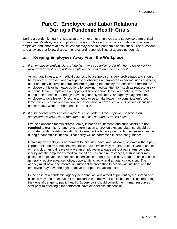# **Part C. Employee and Labor Relations During a Pandemic Health Crisis**

During a pandemic health crisis, as at any other time, employees and supervisors are critical to an agency's ability to accomplish its mission. This section provides guidance on unique employee and labor relations issues that may arise in a pandemic health crisis. The questions and answers that follow discuss the roles and responsibilities of agency personnel.

## **a. Keeping Employees Away From the Workplace**

*1. If an employee exhibits signs of the flu, may a supervisor order him/her to leave work or work from home? If so, will the employee be paid during the absence?* 

 As with any illness, any medical diagnosis by a supervisor is very problematic and should be avoided. However, when a supervisor observes an employee exhibiting signs of illness, he or she may express general concern regarding the employee's health and remind the employee of his or her leave options for seeking medical attention, such as requesting sick or annual leave. Employees on approved sick or annual leave will continue to be paid during their absence. Although leave is generally voluntary, an agency may direct an employee to take leave. Directing an employee to take leave may constitute enforced leave, which is an adverse action (see discussion in next question). Also see discussion on alternative work arrangements in Part II-A.

*2. If a supervisor orders an employee to leave work, will the employee be placed on administrative leave, or be required to use his/ her annual or sick leave?* 

 Excused absence (administrative leave) is not an entitlement, and supervisors are not **required** to grant it. An agency's determination to provide excused absence should be consistent with the Administration's Governmentwide policy on granting excused absence during a pandemic influenza. That policy will be addressed in separate guidance.

Obtaining an employee's agreement to take sick leave, annual leave, or leave without pay is preferable, but in some circumstances, a supervisor may require an employee to use his or her sick or annual leave or place an employee in a leave without pay status pending inquiry into the employee's medical condition. In rare circumstances, a supervisor may place the employee on indefinite suspension in a non-pay, non-duty status. These actions generally require advance notice, opportunity to reply, and an agency decision. The agency must have documentation sufficient to prove that its action was justified, and the employee may have the right to grieve or appeal the action taken.

 In the case of a pandemic, agency personnel actions aimed at preventing the spread of a disease may occur because of the guidance or directive of public health officials regarding the general danger to public health. Supervisors should consult their human resources staff prior to effecting either enforced leave or indefinite suspension.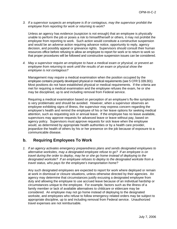*3. If a supervisor suspects an employee is ill or contagious, may the supervisor prohibit the employee from reporting for work or returning to work?* 

 Unless an agency has evidence (suspicion is not enough) that an employee is physically unable to perform the job or poses a risk to himself/herself or others, it may not prohibit the employee from reporting to work. Such action would constitute a constructive suspension and would be an adverse action requiring advance notice, opportunity to reply, agency decision, and possibly appeal or grievance rights. Supervisors should consult their human resources office before refusing to allow an employee to report for work or to return to work so that proper procedures will be followed and constructive suspension issues can be considered.

*4. May a supervisor require an employee to have a medical exam or physical, or prevent an employee from returning to work until the results of an exam or physical show the employee is not contagious?* 

 Management may *require* a medical examination when the position occupied by the employee contains properly developed physical or medical requirements (see 5 CFR § 339.301). Most positions do not have established physical or medical requirements. If the criteria are met for requiring a medical examination and the employee refuses the exam, he or she may be disciplined, up to and including removal from Federal service.

Requiring a medical examination based on perception of an employee's flu-like symptoms is very problematic and should be avoided. However, when a supervisor observes an employee exhibiting signs of illness, the supervisor may express concern regarding the employee's health and remind the employee of his or her leave options for seeking medical attention, such as requesting sick or annual leave. If the employee has no leave available, supervisors may approve requests for advanced leave or leave without pay, based on agency policy. Supervisors must approve requests for sick leave when the employee would, as determined by appropriate health authorities or by a health care provider, jeopardize the health of others by his or her presence on the job because of exposure to a communicable disease.

## **b. Requiring Employees To Work**

*1. If an agency activates emergency preparedness plans and sends designated employees to alternative worksites, may a designated employee refuse to go? If an employee is on travel during the order to deploy, may he or she go home instead of deploying to the designated worksite? If an employee refuses to deploy to the designated worksite from a travel status, who pays for the employee's transportation home?* 

Any such designated employees are expected to report for work where deployed or remain at work in dismissal or closure situations, unless otherwise directed by their agencies. An agency may determine that circumstances justify excusing a designated employee from duty and allowing the employee to use accrued leave because of an individual hardship or circumstances unique to the employee. For example, factors such as the illness of a family member or lack of available alternatives to childcare or eldercare may be considered. An employee may not go home instead of deploying to the designated worksite, and employees who refuse to follow emergency related orders may be subject to appropriate discipline, up to and including removal from Federal service. Unauthorized travel expenses are not reimbursable.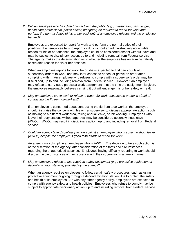*2. Will an employee who has direct contact with the public (e.g., investigator, park ranger, health care professional, police officer, firefighter) be required to report for work and perform the normal duties of his or her position? If an employee refuses, will the employee be fired?* 

 Employees are expected to report for work and perform the normal duties of their positions. If an employee fails to report for duty without an administratively acceptable reason for his or her absence, the employee could be considered absent without leave and may be subject to disciplinary action, up to and including removal from Federal service. The agency makes the determination as to whether the employee has an administratively acceptable reason for his or her absence.

When an employee reports for work, he or she is expected to first carry out lawful supervisory orders to work, and may later choose to appeal or grieve an order after complying with it. An employee who refuses to comply with a supervisor's order may be disciplined, up to and including removal from Federal service. However, an employee may refuse to carry out a particular work assignment if, at the time the assignment is given, the employee reasonably believes carrying it out will endanger his or her safety or health.

*3. May an employee leave work or refuse to report for work because he or she is afraid of contracting the flu from co-workers?* 

 If an employee is concerned about contracting the flu from a co-worker, the employee should first raise the concern with his or her supervisor to discuss appropriate action, such as moving to a different work area, taking annual leave, or teleworking. Employees who leave their duty stations without approval may be considered absent without leave (AWOL). AWOL may result in disciplinary action, up to and including removal from Federal service.

*4. Could an agency take disciplinary action against an employee who is absent without leave (AWOL) despite the employee's good faith efforts to report for work?* 

 An agency may discipline an employee who is AWOL. The decision to take such action is at the discretion of the agency, after consideration of the facts and circumstances regarding the unauthorized absence. Employees having difficulty reporting to work should discuss the circumstances of their absence with their supervisor in a timely manner.

*5. May an employee refuse to use required safety equipment (e.g., protective equipment or decontamination stations) provided by the agency?* 

 When an agency requires employees to follow certain safety procedures, such as using protective equipment or going through a decontamination station, it is to protect the safety and health of its employees. As with any other agency policy, employees are expected to comply with agency safety and health policies. Employees who refuse to comply may be subject to appropriate disciplinary action, up to and including removal from Federal service.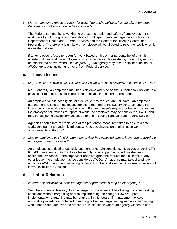6. *May an employee refuse to report for work if he or she believes it is unsafe, even though the threat of contracting the flu has subsided?* 

 The Federal community is working to protect the health and safety of employees in the workplace by following recommendations from Departments and agencies such as the Department of Health and Human Services and the Centers for Disease Control and Prevention. Therefore, it is unlikely an employee will be directed to report for work when it is unsafe to do so.

If an employee refuses to report for work based on his or her personal belief that it is unsafe to do so, and the employee is not in an approved leave status, the employee may be considered absent without leave (AWOL). An agency may take disciplinary action for AWOL, up to and including removal from Federal service.

## **c. Leave Issues**

*1. May an employee who is not sick call in sick because he or she is afraid of contracting the flu?*

 No. Generally, an employee may use sick leave when he or she is unable to work due to a physical or mental illness or is receiving medical examination or treatment.

 An employee who is not eligible for sick leave may request annual leave. An employee has the right to take annual leave, subject to the right of the supervisor to schedule the time at which annual leave may be taken. If an employee's request for leave is denied and the employee still refuses to report for work, the employee may be considered AWOL and may be subject to disciplinary action, up to and including removal from Federal service.

 Agencies should inform employees of the preventive measures taken to ensure a safe workplace during a pandemic Influenza. Also see discussion of alternative work arrangements in Part III-A.

*2. May an employee call in sick after a supervisor has canceled annual leave and ordered the employee to report for work?*

 An employee is entitled to use sick leave under certain conditions. However, under 5 CFR 630.403, an agency may grant sick leave only when supported by administratively acceptable evidence. If the supervisor does not grant the request for sick leave or any other leave, the employee may be considered AWOL. An agency may take disciplinary action for AWOL, up to and including removal from Federal service. Also see discussion of leave flexibilities in Section III-B.

## **d. Labor Relations**

*1. Is there any flexibility on labor-management agreements during an emergency?* 

Yes, there is some flexibility. In an emergency, management has the right to alter working conditions without bargaining prior to implementing the change. However, postimplementation bargaining may be required. In this regard, if management follows applicable procedures contained in existing collective bargaining agreements, bargaining would not be required over the procedure. In situations where an agency wishes to use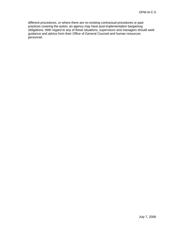different procedures, or where there are no existing contractual procedures or past practices covering the action, an agency may have post-implementation bargaining obligations. With regard to any of these situations, supervisors and managers should seek guidance and advice from their Office of General Counsel and human resources personnel.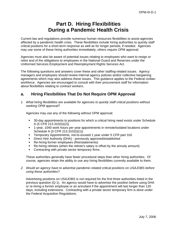# **Part D. Hiring Flexibilities During a Pandemic Health Crisis**

Current law and regulations provide numerous human resources flexibilities to assist agencies affected by a pandemic health crisis. These flexibilities include hiring authorities to quickly staff critical positions for a short-term response as well as for longer periods, if needed. Agencies may use some of these hiring authorities immediately; others require OPM approval.

Agencies must also be aware of potential issues relating to employees who want to resign or retire and of the obligations to employees in the National Guard and Reserves under the Uniformed Services Employment and Reemployment Rights Services Act.

The following questions and answers cover these and other staffing-related issues. Agency managers and employees should review internal agency policies and/or collective bargaining agreements which may also address these issues. This guidance applies to the Federal civilian workforce. Agencies are encouraged to consult with their procurement staff for information about flexibilities relating to contract workers.

## **a. Hiring Flexibilities That Do Not Require OPM Approval**

*1. What hiring flexibilities are available for agencies to quickly staff critical positions without seeking OPM approval?* 

Agencies may use any of the following without OPM approval:

- 30-day appointments to positions for which a critical hiring need exists under Schedule A (5 CFR 213.3102(i)(2))
- 1-year, 1040 work hours per year appointments in remote/isolated locations under Schedule A (5 CFR 213.3102(i)(1))
- **Temporary Appointments, not-to-exceed 1 year under 5 CFR part 316**
- **-** Direct Hire Authority (DHA) previously approved/established
- Re-hiring former employees (Reinstatements)
- Re-hiring retirees (when the retiree's salary is offset by the annuity amount)
- **Contracting with private sector temporary firms.**

 These authorities generally have fewer procedural steps than other hiring authorities. Of course, agencies retain the ability to use any hiring flexibilities currently available to them.

*2. Would an agency have to advertise pandemic-related critical positions on USAJOBS before using these authorities?*

 Advertising positions on USAJOBS is not required for the first three authorities listed in the previous question (Q-1). An agency would have to advertise the position before using DHA or re-hiring a former employee or an annuitant if the appointment will last longer than 120 days, including extensions. Contracting with a private sector temporary firm is done under the Federal Acquisition Regulations.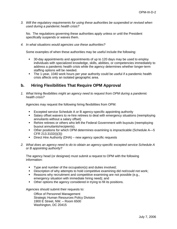*3. Will the regulatory requirements for using these authorities be suspended or revised when used during a pandemic health crisis?*

 No. The regulations governing these authorities apply unless or until the President specifically suspends or waives them.

*4. In what situations would agencies use these authorities?* 

Some examples of when these authorities may be useful include the following:

- 30-day appointments and appointments of up to 120 days may be used to employ individuals with specialized knowledge, skills, abilities, or competencies immediately to address a pandemic health crisis while the agency determines whether longer-term staffing options will be needed.
- The 1-year, 1040 work hours per year authority could be useful if a pandemic health crisis affects only an isolated geographic area.

## **b. Hiring Flexibilities That Require OPM Approval**

*1. What hiring flexibilities might an agency need to request from OPM during a pandemic health crisis?* 

Agencies may request the following hiring flexibilities from OPM:

- Excepted service Schedule A or B agency-specific appointing authority
- Salary offset waivers to re-hire retirees to deal with emergency situations (reemploying annuitants without a salary offset)
- Rehire retirees or others who left the Federal Government with buyouts (reemploying buyout annuitants/recipients).
- Other positions for which OPM determines examining is impracticable (Schedule A—5 CFR 213.3102(i)(3))
- **•** Direct Hire Authority (DHA) new agency specific requests
- *2. What does an agency need to do to obtain an agency-specific excepted service Schedule A or B appointing authority?*

 The agency head (or designee) must submit a request to OPM with the following information:

- **Type and number of the occupation(s) and duties involved;**
- **Description of why attempts to hold competitive examining did not/could not work;**
- Reasons why recruitment and competitive examining are not possible (e.g., emergency situation with immediate hiring need); and
- Other options the agency considered in trying to fill its positions.

Agencies should submit their requests to:

Office of Personnel Management Strategic Human Resources Policy Division 1900 E Street, NW. – Room 6500 Washington, DC 20415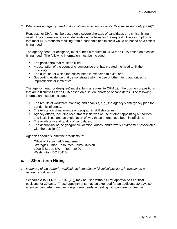*3. What does an agency need to do to obtain an agency-specific Direct-Hire Authority (DHA)?* 

 Requests for DHA must be based on a severe shortage of candidates or a critical hiring need. The information required depends on the basis for the request. The assumption is that most DHA requests resulting from a pandemic health crisis would be based on a critical hiring need.

 The agency head (or designee) must submit a request to OPM for a DHA based on a critical hiring need. The following information must be included:

- $\blacksquare$  The position(s) that must be filled;
- A description of the event or circumstance that has created the need to fill the position(s);
- The duration for which the critical need is expected to exist; and
- Supporting evidence that demonstrates why the use of other hiring authorities is impracticable or ineffective.

 The agency head (or designee) must submit a request to OPM with the position or positions that are difficult to fill for a DHA based on a severe shortage of candidates. The following information must be included:

- The results of workforce planning and analysis, e.g., the agency's emergency plan for pandemic influenza;
- The existence of nationwide or geographic skill shortages;
- Agency efforts, including recruitment initiatives or use of other appointing authorities and flexibilities, and an explanation of why these efforts have been insufficient;
- The availability and quality of candidates;
- The desirability of the geographic location, duties, and/or work environment associated with the position(s).

Agencies should submit their requests to:

Office of Personnel Management Strategic Human Resources Policy Division 1900 E Street, NW. – Room 6500 Washington, DC 20415

## **c. Short-term Hiring**

*1. Is there a hiring authority available to immediately fill critical positions in reaction to a pandemic influenza?* 

 Schedule A (5 CFR 213.3102(i)(2)) may be used without OPM approval to fill critical positions for 30 days. These appointments may be extended for an additional 30 days so agencies can determine their longer-term needs in dealing with pandemic influenza.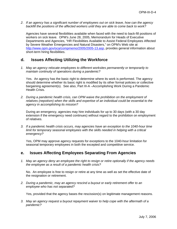*2*. *If an agency has a significant number of employees out on sick leave, how can the agency backfill the positions of the affected workers until they are able to come back to work?* 

Agencies have several flexibilities available when faced with the need to back-fill positions of workers on sick leave.OPM's June 28, 2005, Memorandum for Heads of Executive Departments and Agencies, "HR Flexibilities Available to Assist Federal Employees Affected by Severe Weather Emergencies and Natural Disasters," on OPM's Web site at [http://www.opm.gov/oca/compmemo/2005/2005-13.asp,](http://www.opm.gov/oca/compmemo/2005/2005-13.asp) provides general information about short-term hiring flexibilities.

## **d. Issues Affecting Utilizing the Workforce**

*1. May an agency relocate employees to different worksites permanently or temporarily to maintain continuity of operations during a pandemic?* 

 Yes. An agency has the basic right to determine where its work is performed. The agency should determine whether its basic right is modified by its other formal policies or collective bargaining agreement(s). See also, Part III-A –Accomplishing Work During a Pandemic Health Crisis.

*2. During a pandemic health crisis, can OPM waive the prohibition on the employment of relatives (nepotism) when the skills and expertise of an individual could be essential to the agency in accomplishing its mission?* 

 During an emergency, agencies may hire individuals for up to 30 days (with a 30 day extension if the emergency need continues) without regard to the prohibition on employment of relatives.

*3. If a pandemic health crisis occurs, may agencies have an exception to the 1040-hour time limit for temporary seasonal employees with the skills needed in helping with a critical emergency?* 

Yes, OPM may approve agency requests for exceptions to the 1040-hour limitation for seasonal temporary employees in both the excepted and competitive service.

## **e. Issues Affecting Employees Separating From Agencies**

*1. May an agency deny an employee the right to resign or retire optionally if the agency needs the employee as a result of a pandemic health crisis?* 

 No. An employee is free to resign or retire at any time as well as set the effective date of the resignation or retirement.

*2. During a pandemic, may an agency rescind a buyout or early retirement offer to an employee who has not separated?* 

Yes, provided that the agency bases the rescission(s) on legitimate management reasons.

*3. May an agency request a buyout repayment waiver to help cope with the aftermath of a pandemic?*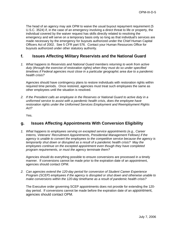The head of an agency may ask OPM to waive the usual buyout repayment requirement (5 U.S.C. 3524) if, in the case of an emergency involving a direct threat to life or property, the individual covered by the waiver request has skills directly related to resolving the emergency and will serve on a temporary basis only so long as that individual's services are made necessary by the emergency for buyouts authorized under the Chief Human Capital Officers Act of 2002. See 5 CFR part 576. Contact your Human Resources Office for buyouts authorized under other statutory authority.

## **f. Issues Affecting Military Reservists and the National Guard**

*1. What happens to Reservists and National Guard members returning to work from active duty (through the exercise of restoration rights) when they must do so under specified timelines if Federal agencies must close in a particular geographic area due to a pandemic health crisis?* 

 Agencies should have contingency plans to restore individuals with restoration rights within required time periods. Once restored, agencies must treat such employees the same as other employees until the situation is resolved.

*2. If the President calls an employee in the Reserves or National Guard to active duty in a uniformed service to assist with a pandemic health crisis, does the employee have restoration rights under the Uniformed Services Employment and Reemployment Rights Act?* 

Yes.

## **g. Issues Affecting Appointments With Conversion Eligibility**

*1. What happens to employees serving on excepted service appointments (e.g., Career Interns, Veterans' Recruitment Appointments, Presidential Management Fellows) if the agency is unable to convert the employees to the competitive service because the agency is temporarily shut down or disrupted as a result of a pandemic health crisis? May the employees continue on the excepted appointment even though they have completed program requirements, or must the agency terminate them?* 

 Agencies should do everything possible to ensure conversions are processed in a timely manner. If conversions cannot be made prior to the expiration date of an appointment, agencies should contact OPM.

*2. Can agencies extend the 120-day period for conversion of Student Career Experience Program (SCEP) employees if the agency is disrupted or shut down and otherwise unable to make conversions within the 120-day timeframe as a result of pandemic health crisis?* 

The Executive order governing SCEP appointments does not provide for extending the 120 day period. If conversions cannot be made before the expiration date of an appointment, agencies should contact OPM.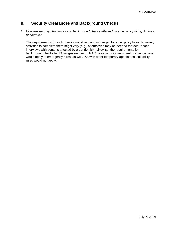## **h. Security Clearances and Background Checks**

*1. How are security clearances and background checks affected by emergency hiring during a pandemic?* 

The requirements for such checks would remain unchanged for emergency hires; however, activities to complete them might vary (e.g., alternatives may be needed for face-to-face interviews with persons affected by a pandemic). Likewise, the requirements for background checks for ID badges (minimum NACI review) for Government building access would apply to emergency hires, as well. As with other temporary appointees, suitability rules would not apply.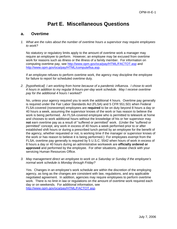# **Part E. Miscellaneous Questions**

## **a. Overtime**

*1. What are the rules about the number of overtime hours a supervisor may require employees to work?* 

No statutory or regulatory limits apply to the amount of overtime work a manager may require an employee to perform. However, an employee may be excused from overtime work for reasons such as illness or the illness of a family member. For information on computing overtime pay, see <http://www.opm.gov/oca/pay/HTML/FACTOT.asp>and <http://www.opm.gov/oca/pay/HTML/computeflsa.asp>.

If an employee refuses to perform overtime work, the agency may discipline the employee for failure to report for scheduled overtime duty.

*2. [hypothetical] I am working from home because of a pandemic influenza. I chose to work 4 hours in addition to my regular 8-hours-per-day work schedule. May I receive overtime pay for the additional 4 hours I worked?* 

 No, unless your agency required you to work the additional 4 hours. Overtime pay generally is required under the Fair Labor Standards Act (FLSA) and 5 CFR 551.501 when Federal FLSA-covered (nonexempt) employees are **required** to be on duty beyond 8 hours a day or 40 hours a week, assuming the supervisor knows of the work or has reason to believe the work is being performed. An FLSA-covered employee who is permitted to telework at home and chooses to work additional hours without the knowledge of his or her supervisor may **not** earn overtime pay as a result of "suffered or permitted" work. (Under the "suffered or permitted" concept, any work in excess of 40 hours a week performed prior to or after established shift hours or during a prescribed lunch period by an employee for the benefit of the agency, whether requested or not, is working time if the manager or supervisor knows of the work or has reason to believe it is being performed.) For employees exempt from the FLSA, overtime pay generally is required by 5 U.S.C. 5542 when hours of work in excess of 8 hours a day or 40 hours during an administrative workweek are **officially ordered or approved** and performed by the employee. For other situations, please check with your servicing Human Resources Office.

*3. May management direct an employee to work on a Saturday or Sunday if the employee's normal work schedule is Monday through Friday?* 

 Yes. Changes in an employee's work schedule are within the discretion of the employing agency, as long as the changes are consistent with law, regulations, and any applicable negotiated agreement. In addition, agencies may require employees to perform overtime work. There is no limit in law or regulations on the amount of overtime work required each day or on weekends. For additional information, see [http://www.opm.gov/oca/pay/HTML/FACTOT.asp.](http://www.opm.gov/oca/pay/HTML/FACTOT.asp)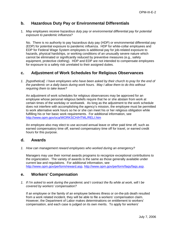## **b. Hazardous Duty Pay or Environmental Differentials**

1. *May employees receive hazardous duty pay or environmental differential pay for potential exposure to pandemic influenza?* 

 No. There is no authority to pay hazardous duty pay (HDP) or environmental differential pay (EDP) for potential exposure to pandemic influenza. HDP for white-collar employees and EDP for Federal Wage System employees is additional pay for job-related exposure to hazards, physical hardships, or working conditions of an unusually severe nature which cannot be eliminated or significantly reduced by preventive measures (e.g., safety equipment, protective clothing). HDP and EDP are not intended to compensate employees for exposure to a safety risk unrelated to their assigned duties.

## **c. Adjustment of Work Schedules for Religious Observances**

*1. [hypothetical] I have employees who have been asked by their church to pray for the end of the pandemic on a daily basis during work hours. May I allow them to do this without requiring them to take leave?* 

 An adjustment of work schedules for religious observances may be approved for an employee whose personal religious beliefs require that he or she abstain from work at certain times of the workday or workweek. As long as the adjustment to the work schedule does not interfere with accomplishing the agency's mission, the employee must be permitted to work alternative work hours so he or she can meet his or her religious obligation while fulfilling his or her basic work requirements. For additional information, see <http://www.opm.gov/oca/WORKSCH/HTML/RELI.htm>

 An employee also may elect to use accrued annual leave or other paid time off, such as earned compensatory time off, earned compensatory time off for travel, or earned credit hours for this purpose.

#### **d. Awards**

*1. How can management reward employees who worked during an emergency?* 

 Managers may use their normal awards programs to recognize exceptional contributions to the organization. The variety of awards is the same as those generally available under current law and regulations. For additional information, see <http://www.opm.gov/perform/reward.asp>,<http://www.opm.gov/perform/faqs/faqs.asp>.

## **e. Workers' Compensation**

*1. If I'm asked to work during the pandemic and I contract the flu while at work, will I be covered by workers' compensation?*

If an employee or the family of an employee believes illness or on-the-job death resulted from a work related incident, they will be able to file a workers' compensation claim. However, the Department of Labor makes determinations on entitlement to workers' compensation, and each case is judged on its own merits. To apply for workers'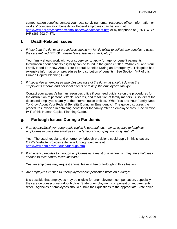compensation benefits, contact your local servicing human resources office. Information on workers' compensation benefits for Federal employees can be found at <http://www.dol.gov/esa/regs/compliance/owcp/fecacont.htm>or by telephone at (866-OWCP-IVR (866-692-7487).

## **f. Death-Related Issues**

*1. If I die from the flu, what procedures should my family follow to collect any benefits to which they are entitled (FELGI, unused leave, last pay check, etc.)?* 

Your family should work with your supervisor to apply for agency benefit payments. Information about benefits eligibility can be found in the guide entitled, "What You and Your Family Need To Know About Your Federal Benefits During an Emergency". This guide has extensive information on procedures for distribution of benefits. See Section IV-F of this Human Capital Planning Guide.

2*. If I supervise an employee who dies because of the flu, what should I do with the employee's records and personal effects or to help the employee's family?*

Contact your agency's human resources office if you need guidance on the procedures for the distribution of personal effects, records, and resolution of family matters. Also, direct the deceased employee's family to the Internet guide entitled, "What You and Your Family Need To Know About Your Federal Benefits During an Emergency." The guide discusses the procedures involved in obtaining benefits for the family after an employee dies. See Section IV-F of this Human Capital Planning Guide.

## **g. Furlough Issues During a Pandemic**

*1. If an agency/facility/or geographic region is quarantined, may an agency furlough its employees to place the employees in a temporary non-pay, non-duty status?* 

Yes. The usual regular and emergency furlough provisions could apply in this situation. OPM's Website provides extensive furlough guidance at [http://www.opm.gov/furlough/furlough.htm.](http://www.opm.gov/furlough/furlough.htm)

*2.**If an agency decides to furlough employees as a result of a pandemic, may the employees choose to take annual leave instead?* 

Yes, an employee may request annual leave in lieu of furlough in this situation.

*3. Are employees entitled to unemployment compensation while on furlough?* 

It is possible that employees may be eligible for unemployment compensation, especially if they are on consecutive furlough days. State unemployment compensation requirements differ. Agencies or employees should submit their questions to the appropriate State office.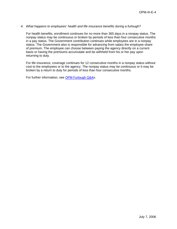#### *4. What happens to employees' health and life insurance benefits during a furlough?*

For health benefits, enrollment continues for no more than 365 days in a nonpay status. The nonpay status may be continuous or broken by periods of less than four consecutive months in a pay status. The Government contribution continues while employees are in a nonpay status. The Government also is responsible for advancing from salary the employee share of premium. The employee can choose between paying the agency directly on a current basis or having the premiums accumulate and be withheld from his or her pay upon returning to duty.

For life insurance, coverage continues for 12 consecutive months in a nonpay status without cost to the employees or to the agency. The nonpay status may be continuous or it may be broken by a return to duty for periods of less than four consecutive months.

For further information, see [OPM Furlough Q&A](http://www.opm.gov/furlough/furlough.htm)s.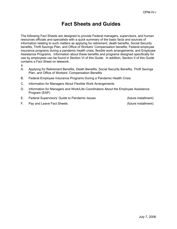# **Fact Sheets and Guides**

The following Fact Sheets are designed to provide Federal managers, supervisors, and human resources officials and specialists with a quick summary of the basic facts and sources of information relating to such matters as applying for retirement, death benefits, Social Security benefits, Thrift Savings Plan, and Office of Workers' Compensation benefits; Federal employee insurance programs during a pandemic health crisis; flexible work arrangements; and Employee Assistance Programs. Information about these benefits and programs designed specifically for use by employees can be found in Section VI of this Guide. In addition, Section II of this Guide contains a Fact Sheet on telework.

- $#$
- A. Applying for Retirement Benefits, Death Benefits, Social Security Benefits, Thrift Savings Plan, and Office of Workers' Compensation Benefits
- B. Federal Employee Insurance Programs During a Pandemic Health Crisis
- C. Information for Managers About Flexible Work Arrangements
- D. Information for Managers and Work/Life Coordinators About the Employee Assistance Program (EAP)
- E. Federal Supervisors' Guide to Pandemic Issues (future installment)

F. Pay and Leave Fact Sheets (future installment)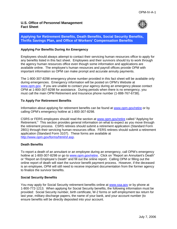#### **U.S. Office of Personnel Management Fact Sheet**



**Applying for Retirement Benefits, Death Benefits, Social Security Benefits, Thrifts Savings Plan, and Office of Workers' Compensation Benefits** 

#### **Applying For Benefits During An Emergency**

Employees should always attempt to contact their servicing human resources office to apply for any benefits listed in this fact sheet. Employees and their survivors should try to work through the agency human resources office even though some information and applications are available online. The employee's human resources and payroll offices provide OPM with important information so OPM can make prompt and accurate annuity payments.

The 1-800-307-8298 emergency phone number provided in this fact sheet will be available only during emergencies. Emergency information will be posted on OPM's Website at [www.opm.gov](http://www.opm.gov/). If you are unable to contact your agency during an emergency please contact OPM at 1-800-307-8298 for assistance. During periods when there is no emergency, you must call the main OPM Retirement and Insurance phone number (1-888-767-6738).

#### **To Apply For Retirement Benefits**

Information about applying for retirement benefits can be found at [www.opm.gov/retire](http://www.opm.gov/retire) or by calling OPM's emergency hotline at 1-800-307-8298.

CSRS or FERS employees should read the section at [www.opm.gov/retire](http://www.opm.gov/retire) called "Applying for Retirement." This section provides general information on what to expect as you move through the retirement process. CSRS retirees should submit a retirement application (Standard Form 2801) through their servicing human resources office. FERS retirees should submit a retirement application (Standard Form 3107). These forms are available at <http://www.opm.gov/forms/html/sf.asp>.

#### **Death Benefits**

To report a death of an annuitant or an employee during an emergency, call OPM's emergency hotline at 1-800-307-8298 or go to [www.opm.gov/retire.](http://www.opm.gov/retire) Click on "Report an Annuitant's Death" or "Report an Employee's Death" and fill out the online report. Calling OPM or filling out the online report of death will start the survivor benefit payment process. However, if the deceased is an employee, OPM will still need to receive important documentation from the former agency to finalize the survivor benefits.

#### **Social Security Benefits**

You may apply for Social Security retirement benefits online at [www.ssa.gov](http://www.ssa.gov/) or by phone at 1-800-772-1213. When applying for Social Security benefits, the following information must be provided: Social Security number, birth certificate, W-2 forms or self employment tax return for last year, military discharge papers, the name of your bank, and your account number (to ensure benefits will be directly deposited into your account.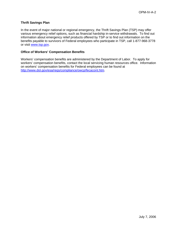#### **Thrift Savings Plan**

In the event of major national or regional emergency, the Thrift Savings Plan (TSP) may offer various emergency relief options, such as financial hardship in-service withdrawals. To find out information about emergency relief products offered by TSP or to find out information on the benefits payable to survivors of Federal employees who participate in TSP, call 1-877-968-3778 or visit [www.tsp.gov](http://www.tsp.gov/).

#### **Office of Workers' Compensation Benefits**

Workers' compensation benefits are administered by the Department of Labor. To apply for workers' compensation benefits, contact the local servicing human resources office. Information on workers' compensation benefits for Federal employees can be found at [http://www.dol.gov/esa/regs/compliance/owcp/fecacont.htm.](http://www.dol.gov/esa/regs/compliance/owcp/fecacont.htm)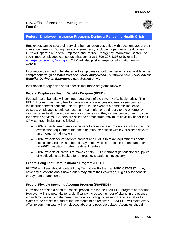

### **Federal Employee Insurance Programs During a Pandemic Health Crisis**

Employees can contact their servicing human resources office with questions about their insurance benefits. During periods of emergency, including a pandemic health crisis, OPM will operate a Federal Employee and Retiree Emergency Information Center. At such times, employees can contact that center at 1-800-307-8298 or by email at [emergencybenefits@opm.gov](mailto:emergencybenefits@opm.gov). OPM will also post emergency information on its website.

Information designed to be shared with employees about their benefits is available in the comprehensive guide *What You and Your Family Need To Know About Your Federal Benefits During an Emergency* (see Section VI-H).

Information for agencies about specific insurance programs follows:

### **Federal Employees Health Benefits Program (FEHB)**

Federal health benefits will continue regardless of the severity of a health crisis. The FEHB Program has many health plans on which agencies and employees can rely to make sure benefits continue uninterrupted. In the event of a pandemic influenza episode, employees should contact their health plan or go directly to the emergency room or other health care provider if for some reason they cannot contact their provider for needed services. Carriers are asked to demonstrate maximum flexibility under their OPM contract, including the following:

- OPM expects fee-for-service carriers to relax certain provisions such as their precertification requirement that the plan must be notified within 2 business days of an emergency admission.
- OPM expects fee-for-service carriers and HMOs to relax requirements about notification and levels of benefit payment if victims are taken to non-plan and/or non-PPO hospitals or other treatment centers.
- OPM expects all carriers to make certain FEHB members get additional supplies of medications as backup for emergency situations if necessary.

#### **Federal Long Term Care Insurance Program (FLTCIP)**

FLTCIP enrollees should contact Long Term Care Partners at **1-800-582-3337** if they have any questions about how a crisis may affect their coverage, eligibility for benefits, or payment of premiums.

#### **Federal Flexible Spending Account Program (FSAFEDS)**

OPM does not see a need for special procedures for the FSAFEDS program at this time. However with the potential for a significantly increased number of claims in the event of a pandemic, we anticipate there may be a coinciding increase in the time it takes for claims to be processed and reimbursements to be received. FSAFEDS will make every effort to communicate with employees about any possible delays. Agencies should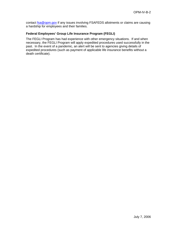contact **fsa@opm.gov** if any issues involving FSAFEDS allotments or claims are causing a hardship for employees and their families.

### **Federal Employees' Group Life Insurance Program (FEGLI)**

The FEGLI Program has had experience with other emergency situations. If and when necessary, the FEGLI Program will apply expedited procedures used successfully in the past. In the event of a pandemic, an alert will be sent to agencies giving details of expedited procedures (such as payment of applicable life insurance benefits without a death certificate).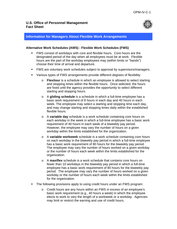

### **Information for Managers About Flexible Work Arrangements**

### **Alternative Work Schedules (AWS) - Flexible Work Schedules (FWS)**

- FWS consist of workdays with core and flexible hours. Core hours are the designated period of the day when all employees must be at work. Flexible hours are the part of the workday employees may (within limits or "bands") choose their time of arrival and departure.
- FWS are voluntary work schedules subject to approval by supervisors/managers.
- Various types of FWS arrangements provide different degrees of flexibility:
	- o **Flexitour** is a schedule in which an employee is allowed to select starting and stopping times within the flexible hours. Once selected, the hours are fixed until the agency provides the opportunity to select different starting and stopping hours.
	- o A **gliding schedule** is a schedule in which a full-time employee has a basic work requirement of 8 hours in each day and 40 hours in each week. The employee may select a starting and stopping time each day, and may change starting and stopping times daily within the established flexible hours.
	- o A **variable day** schedule is a work schedule containing core hours on each workday in the week in which a full-time employee has a basic work requirement of 40 hours in each week of a biweekly pay period. However, the employee may vary the number of hours on a given workday within the limits established for the organization.
	- o A **variable workweek** schedule is a work schedule containing core hours on each workday in the biweekly pay period in which a full-time employee has a basic work requirement of 80 hours for the biweekly pay period. The employee may vary the number of hours worked on a given workday or the number of hours each week within the limits established for the organization.
	- o A **maxiflex** schedule is a work schedule that contains core hours on fewer than 10 workdays in the biweekly pay period in which a full-time employee has a basic work requirement of 80 hours for the biweekly pay period. The employee may vary the number of hours worked on a given workday or the number of hours each week within the limits established for the organization.
- The following provisions apply to using credit hours under an FWS program:
	- o Credit hours are any hours within an FWS in excess of an employee's basic work requirement (e.g., 40 hours a week) in which the employee elects to work to vary the length of a workweek or a workday. Agencies may limit or restrict the earning and use of credit hours.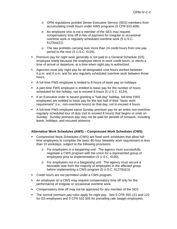- o OPM regulations prohibit Senior Executive Service (SES) members from accumulating credit hours under AWS programs (5 CFR 610.408).
- o An employee who is not a member of the SES may request compensatory time off in lieu of payment for irregular or occasional overtime work or regularly scheduled overtime work (5 U.S.C. 6123(a)(1)).
- o The law prohibits carrying over more than 24 credit hours from one pay period to the next (5 U.S.C. 6126).
- Premium pay for night work generally is not paid to a General Schedule (GS) employee solely because the employee elects to work credit hours, or elects a time of arrival or departure, at a time when night pay is authorized.
- Agencies must pay night pay for all designated core hours worked between 6 p.m. and 6 a.m. and for any regularly scheduled overtime work between those hours.
- A full-time FWS employee is limited to 8 hours of basic pay on holidays.
- A part-time FWS employee is entitled to basic pay for the number of hours scheduled for the holiday, not to exceed 8 hours (5 U.S.C. 6124).
- **If an Executive order is issued granting a "half-day" holiday, full-time FWS** employees are entitled to basic pay for the last half of their "basic work requirement" (i.e., non-overtime hours) on that day, not to exceed 4 hours.
- A full-time FWS employee earns Sunday premium pay for an entire non-overtime regularly scheduled tour of duty (not to exceed 8 hours) that begins or ends on Sunday. Sunday premium pay may not be paid for periods of nonwork, including leave, holidays, and excused absence.

### **Alternative Work Schedules (AWS) – Compressed Work Schedules (CWS)**

- Compressed Work Schedules (CWS) are fixed work schedules that allow fulltime employees to complete the basic 80-hour biweekly work requirement in less than 10 workdays, subject to the following provisions:
	- o *For employees in a bargaining unit:* The agency must successfully negotiate a CWS program with the union for a represented group of employees prior to implementation (5 U.S.C. 6130).
	- o *For employees not in a bargaining unit:* The agency must secure a favorable vote from the majority of employees in the affected group before implementing a CWS program (5 U.S.C. 6127(b)(1)).
- **Credit hours are not permitted under a CWS program.**
- An employee on a CWS may request compensatory time off only for the performance of irregular or occasional overtime work.
- Compensatory time off may not be approved for any member of the SES.
- The normal premium pay rules apply for night pay. See 5 CFR 550.121 and 122 for GS employees and 5 CFR 532.505 for prevailing rate (wage) employees.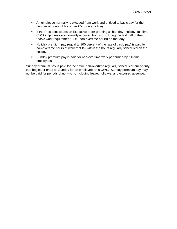- An employee normally is excused from work and entitled to basic pay for the number of hours of his or her CWS on a holiday.
- **If the President issues an Executive order granting a "half-day" holiday, full-time** CWS employees are normally excused from work during the last half of their "basic work requirement" (i.e., non-overtime hours) on that day.
- Holiday premium pay (equal to 100 percent of the rate of basic pay) is paid for non-overtime hours of work that fall within the hours regularly scheduled on the holiday.
- Sunday premium pay is paid for non-overtime work performed by full-time employees.

Sunday premium pay is paid for the entire non-overtime regularly scheduled tour of duty that begins or ends on Sunday for an employee on a CWS. Sunday premium pay may not be paid for periods of non-work, including leave, holidays, and excused absence.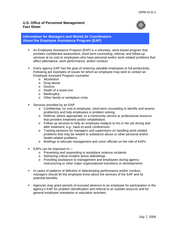

### **Information for Managers and Work/Life Coordinators About the Employee Assistance Program (EAP)**

- An Employee Assistance Program (EAP) is a voluntary, work-based program that provides confidential assessment, short-term counseling, referral, and follow-up services at no cost to employees who have personal and/or work-related problems that affect attendance, work performance, and/or conduct
- Every agency EAP has the goal of restoring valuable employees to full productivity. Following are examples of issues for which an employee may wish to contact an Employee Assistant Program counselor:
	- o Alcoholism
	- o Drug abuse
	- o Divorce
	- o Death of a loved one
	- o Bankruptcy
	- o Other family or workplace crisis
- Services provided by an EAP:
	- o Confidential, no cost to employee, short-term counseling to identify and assess problem(s) and help employees in problem solving
	- o Referral, where appropriate, to a community service or professional resource that provides treatment and/or rehabilitation.
	- o Follow up services to help an employee readjust to his or her job during and after treatment, e.g., back-to-work conferences
	- o Training sessions for managers and supervisors on handling work-related problems that may be related to substance abuse or other personal and/or health-related problems
	- o Briefings to educate management and union officials on the role of EAPs
- EAPs can be important in
	- o Preventing and responding to workplace violence incidents
	- o Delivering critical incident stress debriefings
	- o Providing assistance to management and employees during agency restructuring or other major organizational transitions or developments
- In cases of patterns of deficient or deteriorating performance and/or conduct, managers should let the employee know about the services of the EAP and its potential benefits.
- Agencies may grant periods of excused absence to an employee for participation in the agency's EAP for problem identification and referral to an outside resource and for general employee orientation or education activities.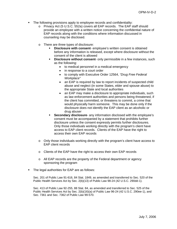- The following provisions apply to employee records and confidentiality:
	- o Privacy Act (5 U.S.C. 552a) covers all EAP records. The EAP staff should provide an employee with a written notice concerning the confidential nature of EAP records along with the conditions where information discussed in counseling may be disclosed.
	- o There are three types of disclosure:
		- **Disclosure with consent** employee's written consent is obtained before any information is released, except where disclosure without the consent of the client is allowed
		- **Disclosure without consent** only permissible in a few instances, such as the following:
			- to medical personnel in a medical emergency
			- in response to a court order
			- to comply with Executive Order 12564, *"Drug Free Federal Workplace"*
			- an EAP is required by law to report incidents of suspected child abuse and neglect (in some States, elder and spouse abuse) to the appropriate State and local authorities
			- an EAP may make a disclosure to appropriate individuals, such as law enforcement authorities and persons being threatened, if the client has committed, or threatens to commit, a crime that would physically harm someone. This may be done only if the disclosure does not identify the EAP client as an alcoholic or drug abuser
		- **Secondary disclosure-** any information disclosed with the employee's consent must be accompanied by a statement that prohibits further disclosure unless the consent expressly permits further disclosures. Only those individuals working directly with the program's client have access to EAP client records. Clients of the EAP have the right to access their own EAP records
	- o Only those individuals working directly with the program's client have access to EAP client records
	- o Clients of the EAP have the right to access their own EAP records
	- o All EAP records are the property of the Federal department or agency sponsoring the program
- The legal authorities for EAP are as follows:

Sec. 201 of Public Law 91-616, 84 Stat. 1849, as amended and transferred to Sec. 520 of the Public Health Services Act by Sec. 2(b)(13) of Public Law 98-24 (42 U.S.C. 290dd-1).

Sec. 413 of Public Law 92-255, 88 Stat. 84, as amended and transferred to Sec. 525 of the Public Health Services Act by Sec. 2(b)(16)(a) of Public Law 96-24 (42 U.S.C. 290ee-1), and Sec. 7361 and Sec. 7362 of Public Law 99-570.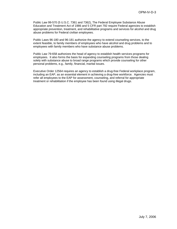Public Law 99-570 (5 U.S.C. 7361 and 7362), The Federal Employee Substance Abuse Education and Treatment Act of 1986 and 5 CFR part 792 require Federal agencies to establish appropriate prevention, treatment, and rehabilitative programs and services for alcohol and drug abuse problems for Federal civilian employees.

Public Laws 96-180 and 96-181 authorize the agency to extend counseling services, to the extent feasible, to family members of employees who have alcohol and drug problems and to employees with family members who have substance abuse problems.

Public Law 79-658 authorizes the head of agency to establish health services programs for employees. It also forms the basis for expanding counseling programs from those dealing solely with substance abuse to broad range programs which provide counseling for other personal problems, e.g., family, financial, marital issues.

Executive Order 12564 requires an agency to establish a drug-free Federal workplace program, including an EAP, as an essential element in achieving a drug-free workforce. Agencies must refer all employees to the EAP for assessment, counseling, and referral for appropriate treatment or rehabilitation if the employee has been found using illegal drugs.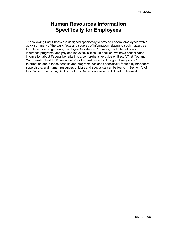# **Human Resources Information Specifically for Employees**

The following Fact Sheets are designed specifically to provide Federal employees with a quick summary of the basic facts and sources of information relating to such matters as flexible work arrangements, Employee Assistance Programs, health benefits and insurance programs, and pay and leave flexibilities. In addition, we have consolidated information about Federal benefits into a comprehensive guide entitled, "What You and Your Family Need To Know about Your Federal Benefits During an Emergency." Information about these benefits and programs designed specifically for use by managers, supervisors, and human resources officials and specialists can be found in Section IV of this Guide. In addition, Section II of this Guide contains a Fact Sheet on telework.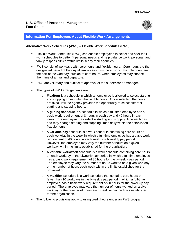

### **Information For Employees About Flexible Work Arrangements**

#### **Alternative Work Schedules (AWS) – Flexible Work Schedules (FWS)**

- Flexible Work Schedules (FWS) can enable employees to select and alter their work schedules to better fit personal needs and help balance work, personal, and family responsibilities within limits set by their agencies.
- FWS consist of workdays with core hours and flexible hours. Core hours are the designated period of the day all employees must be at work. Flexible hours are the part of the workday, outside of core hours, when employees may choose their time of arrival and departure.
- FWS are voluntary and subject to approval of the supervisor or manager.
- The types of FWS arrangements are:
	- o **Flexitour** is a schedule in which an employee is allowed to select starting and stopping times within the flexible hours. Once selected, the hours are fixed until the agency provides the opportunity to select different starting and stopping hours.
	- o A **gliding schedule** is a schedule in which a full-time employee has a basic work requirement of 8 hours in each day and 40 hours in each week. The employee may select a starting and stopping time each day and may change starting and stopping times daily within the established flexible hours.
	- o A v**ariable day** schedule is a work schedule containing core hours on each workday in the week in which a full-time employee has a basic work requirement of 40 hours in each week of a biweekly pay period. However, the employee may vary the number of hours on a given workday within the limits established for the organization.
	- o A **variable workweek** schedule is a work schedule containing core hours on each workday in the biweekly pay period in which a full-time employee has a basic work requirement of 80 hours for the biweekly pay period. The employee may vary the number of hours worked on a given workday or the number of hours each week within the limits established for the organization.
	- o A **maxiflex** schedule is a work schedule that contains core hours on fewer than 10 workdays in the biweekly pay period in which a full-time employee has a basic work requirement of 80 hours for the biweekly pay period. The employee may vary the number of hours worked on a given workday or the number of hours each week within the limits established for the organization.
- The following provisions apply to using credit hours under an FWS program: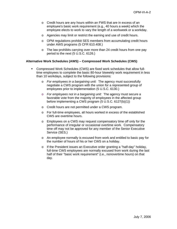- o Credit hours are any hours within an FWS that are in excess of an employee's basic work requirement (e.g., 40 hours a week) which the employee elects to work to vary the length of a workweek or a workday.
- o Agencies may limit or restrict the earning and use of credit hours.
- o OPM regulations prohibit SES members from accumulating credit hours under AWS programs (5 CFR 610.408.)
- o The law prohibits carrying over more than 24 credit hours from one pay period to the next (5 U.S.C. 6126.)

#### **Alternative Work Schedules (AWS) – Compressed Work Schedules (CWS)**

- Compressed Work Schedules (CWS) are fixed work schedules that allow fulltime employees to complete the basic 80-hour biweekly work requirement in less than 10 workdays, subject to the following provisions:
	- o *For employees in a bargaining unit:* The agency must successfully negotiate a CWS program with the union for a represented group of employees prior to implementation (5 U.S.C. 6130.)
	- o *For employees not in a bargaining unit:* The agency must secure a favorable vote from the majority of employees in the affected group before implementing a CWS program (5 U.S.C. 6127(b)(1))
	- o Credit hours are not permitted under a CWS program.
	- o For full-time employees, all hours worked in excess of the established CWS are overtime hours.
	- o Employees on a CWS may request compensatory time off only for the performance of irregular or occasional overtime work. Compensatory time off may not be approved for any member of the Senior Executive Service (SES.)
	- o An employee normally is excused from work and entitled to basic pay for the number of hours of his or her CWS on a holiday.
	- o If the President issues an Executive order granting a "half-day" holiday, full-time CWS employees are normally excused from work during the last half of their "basic work requirement" (i.e., nonovertime hours) on that day.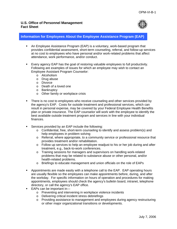

# **Information for Employees About the Employee Assistance Program (EAP)**

- An Employee Assistance Program (EAP) is a voluntary, work-based program that provides confidential assessment, short-term counseling, referral, and follow-up services at no cost to employees who have personal and/or work-related problems that affect attendance, work performance, and/or conduct.
- Every agency EAP has the goal of restoring valuable employees to full productivity. Following are examples of issues for which an employee may wish to contact an Employee Assistant Program Counselor:
	- o Alcoholism
	- o Drug abuse
	- o Divorce
	- o Death of a loved one
	- o Bankruptcy
	- o Other family or workplace crisis
- **There is no cost to employees who receive counseling and other services provided by** the agency's EAP. Costs for outside treatment and professional services, which can result in personal expense, may be covered by your Federal Employee Health Benefits plan or private insurance. The EAP counselor will work with the employee to identify the best available outside treatment program and services in line with your individual finances.
- **Services provided by an EAP include the following:** 
	- o Confidential, free, short-term counseling to identify and assess problem(s) and help employees in problem solving
	- $\circ$  Referral, where appropriate, to a community service or professional resource that provides treatment and/or rehabilitation.
	- $\circ$  Follow up services to help an employee readjust to his or her job during and after treatment, e.g., back-to-work conferences.
	- o Training sessions for managers and supervisors on handling work-related problems that may be related to substance abuse or other personal, and/or health-related problems.
	- o Briefings to educate management and union officials on the role of EAPs
- Appointments are made easily with a telephone call to the EAP. EAP operating hours are usually flexible so the employees can make appointments before, during, and after the workday. For specific information on hours of operation and procedures for making appointments, employees should check the agency's bulletin board, intranet, telephone directory, or call the agency's EAP office.
- EAPs can be important in
	- o Preventing and intervening in workplace violence incidents
	- o Delivering critical incident stress debriefings
	- o Providing assistance to management and employees during agency restructuring or other major organizational transitions or developments.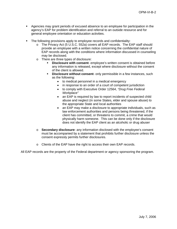- Agencies may grant periods of excused absence to an employee for participation in the agency's EAP for problem identification and referral to an outside resource and for general employee orientation or education activities.
- The following provisions apply to employee records and confidentiality:
	- o The Privacy Act (5 U.S.C. 552a) covers all EAP records. The EAP staff should provide an employee with a written notice concerning the confidential nature of EAP records along with the conditions where information discussed in counseling may be disclosed.
	- o There are three types of disclosure:
		- **Disclosure with consent** employee's written consent is obtained before any information is released, except where disclosure without the consent of the client is allowed.
		- **Disclosure without consent-** only permissible in a few instances, such as the following:
			- to medical personnel in a medical emergency
			- in response to an order of a court of competent jurisdiction
			- to comply with Executive Order 12564, *"Drug Free Federal Workplace"*
			- an EAP is required by law to report incidents of suspected child abuse and neglect (in some States, elder and spouse abuse) to the appropriate State and local authorities
			- an EAP may make a disclosure to appropriate individuals, such as law enforcement authorities and persons being threatened, if the client has committed, or threatens to commit, a crime that would physically harm someone. This can be done only if the disclosure does not identify the EAP client as an alcoholic or drug abuser
	- o **Secondary disclosure** any information disclosed with the employee's consent must be accompanied by a statement that prohibits further disclosure unless the consent expressly permits further disclosures.
	- o Clients of the EAP have the right to access their own EAP records.

All EAP records are the property of the Federal department or agency sponsoring the program.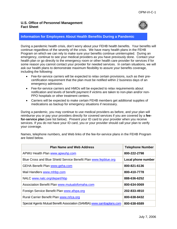

## **Information for Employees About Health Benefits During a Pandemic**

During a pandemic health crisis, don't worry about your FEHB health benefits. Your benefits will continue regardless of the severity of the crisis. We have many health plans in the FEHB Program on which we can rely to make sure your benefits continue uninterrupted. During an emergency, continue to see your medical providers as you have previously done. Contact your health plan or go directly to the emergency room or other health care provider for services if for some reason you cannot contact your provider for needed services. In certain situations, we will ask our health plans to demonstrate maximum flexibility to assure your benefits coverage, including the following:

- Fee-for-service carriers will be expected to relax certain provisions, such as their precertification requirement that the plan must be notified within 2 business days of an emergency admission.
- Fee-for-service carriers and HMOs will be expected to relax requirements about notification and levels of benefit payment if victims are taken to non-plan and/or non-PPO hospitals or other treatment centers.
- Carriers will be expected to make certain FEHB members get additional supplies of medications as backup for emergency situations if necessary.

During a pandemic, you may continue to use medical providers as before, and your plan will reimburse you or pay your providers directly for covered services if you are covered by a **feefor-service plan** (see list below). Present your ID card to your provider when you receive services. If you do not have your ID card, you or your provider should call your plan to verify your coverage.

Names, telephone numbers, and Web links of the fee-for-service plans in the FEHB Program are listed below.

| <b>Plan Name and Web Address</b>                                     | <b>Telephone Number</b> |
|----------------------------------------------------------------------|-------------------------|
| APWU Health Plan www.apwuhp.com                                      | 800-222-2798            |
| Blue Cross and Blue Shield Service Benefit Plan www.fepblue.org      | Local phone number      |
| <b>GEHA Benefit Plan www.geha.com</b>                                | 800-821-6136            |
| Mail Handlers www.mhbp.com                                           | 800-410-7778            |
| NALC www.nalc.org/depart/hbp                                         | 888-636-6252            |
| Association Benefit Plan www.mutualofomaha.com                       | 800-634-0069            |
| Foreign Service Benefit Plan www.afspa.org                           | 202-833-4910            |
| Rural Carrier Benefit Plan www.nrlca.org                             | 800-638-8432            |
| Special Agents Mutual Benefit Association (SAMBA) www.sambaplans.com | 800-638-6589            |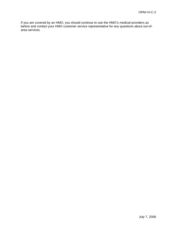If you are covered by an HMO, you should continue to use the HMO's medical providers as before and contact your HMO customer service representative for any questions about out-ofarea services.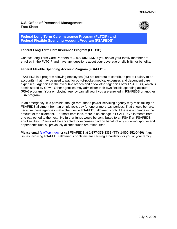

**Federal Long Term Care Insurance Program (FLTCIP) and Federal Flexible Spending Account Program (FSAFEDS**)

### **Federal Long Term Care Insurance Program (FLTCIP)**

Contact Long Term Care Partners at **1-800-582-3337** if you and/or your family member are enrolled in the FLTCIP and have any questions about your coverage or eligibility for benefits.

### **Federal Flexible Spending Account Program (FSAFEDS**)

FSAFEDS is a program allowing employees (but not retirees) to contribute pre-tax salary to an account(s) that may be used to pay for out-of-pocket medical expenses and dependent care expenses. Agencies in the executive branch and a few other agencies offer FSAFEDS, which is administered by OPM. Other agencies may administer their own flexible spending account (FSA) program. Your employing agency can tell you if you are enrolled in FSAFEDS or another FSA program.

In an emergency, it is possible, though rare, that a payroll servicing agency may miss taking an FSAFEDS allotment from an employee's pay for one or more pay periods. That should be rare, because these agencies make changes in FSAFEDS allotments only if there is a change in the amount of the allotment. For most enrollees, there is no change in FSAFEDS allotments from one pay period to the next. No further funds would be contributed to an FSA if an FSAFEDS enrollee dies. Claims will be accepted for expenses paid on behalf of any surviving spouse and dependents until all previously allotted funds are reimbursed.

Please email [fsa@opm.gov](mailto:fsa@opm.gov) or call FSAFEDS at **1-877-372-3337** (TTY **1-800-952-0450**) if any issues involving FSAFEDS allotments or claims are causing a hardship for you or your family.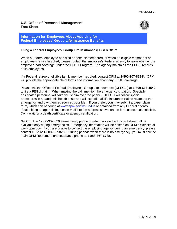

### **Information for Employees About Applying for Federal Employees' Group Life Insurance Benefits**

### **Filing a Federal Employees' Group Life Insurance (FEGLI) Claim**

When a Federal employee has died or been dismembered, or when an eligible member of an employee's family has died, please contact the employee's Federal agency to learn whether the employee had coverage under the FEGLI Program. The agency maintains the FEGLI records of its employees.

If a Federal retiree or eligible family member has died, contact OPM at **1-800-307-8298\*.** OPM will provide the appropriate claim forms and information about any FEGLI coverage.

Please call the Office of Federal Employees' Group Life Insurance (OFEGLI) at **1-800-633-4542** to file a FEGLI claim. When making the call, mention the emergency situation. Specially designated personnel will take your claim over the phone. OFEGLI will follow special procedures in a pandemic health crisis and will expedite all life insurance claims related to the emergency and pay them as soon as possible. If you prefer, you may submit a paper claim form, which can be found at [www.opm.gov/insure/life](http://www.opm.gov/insure/life) or obtained from any Federal agency. If submitting a paper claim, please mail it to the address shown on the form as soon as possible. Don't wait for a death certificate or agency certification.

\*NOTE: The 1-800-307-8298 emergency phone number provided in this fact sheet will be available only during emergencies. Emergency information will be posted on OPM's Website at www.opm.gov. If you are unable to contact the employing agency during an emergency, please contact OPM at 1-800-307-8298. During periods when there is no emergency, you must call the main OPM Retirement and Insurance phone at 1-888-767-6738.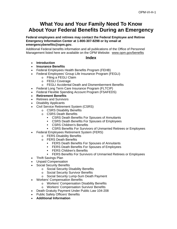# **What You and Your Family Need To Know About Your Federal Benefits During an Emergency**

**Federal employees and retirees may contact the Federal Employee and Retiree Emergency Information Center at 1-800-307-8298 or by email at emergencybenefits@opm.gov.** 

Additional Federal benefits information and all publications of the Office of Personnel Management listed here are available on the OPM Website: [www.opm.gov/](http://www.opm.gov/)benefits

### **Index**

- **Introduction**
- **Insurance Benefits**
- Federal Employees Health Benefits Program (FEHB)
- Federal Employees' Group Life Insurance Program (FEGLI)
	- o Filing a FEGLI Claim
	- o FEGLI Coverage
	- o FEGLI Accidental Death and Dismemberment Benefits
- Federal Long Term Care Insurance Program (FLTCIP)
- Federal Flexible Spending Account Program (FSAFEDS)
- **Retirement Benefits**
- Retirees and Survivors
- Disability Applicants
- Civil Service Retirement System (CSRS)
	- o CSRS Disability Benefits
	- o CSRS Death Benefits
		- CSRS Death Benefits For Spouses of Annuitants
		- **EXALGE SHOW COSES DEATH** Benefits For Spouses of Employees
		- **CSRS Children's Benefits**
	- **EXALGE A.1 CORS Benefits For Survivors of Unmarried Retirees or Employees**
- Federal Employees Retirement System (FERS)
	- o FERS Disability Benefits
	- o FERS Death Benefits
		- **FERS Death Benefits For Spouses of Annuitants**
		- **FERS Death Benefits For Spouses of Employees**
		- **FERS Children's Benefits**
		- FERS Benefits For Survivors of Unmarried Retirees or Employees
- Thrift Savings Plan
- Unpaid Compensation
- Social Security Benefits
	- o Social Security Disability Benefits
	- o Social Security Survivor Benefits
	- o Social Security Lump-Sum Death Payment
- Workers' Compensation Benefits
	- o Workers' Compensation Disability Benefits
	- o Workers' Compensation Survivor Benefits
- Death Gratuity Payment Under Public Law 104-208
- Public Safety Officers' Benefits
- **Additional Information**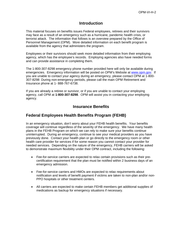## **Introduction**

This material focuses on benefits issues Federal employees, retirees and their survivors may face as a result of an emergency such as a hurricane, pandemic health crisis, or terrorist attack. The information that follows is an overview prepared by the Office of Personnel Management (OPM). More detailed information on each benefit program is available from the agency that administers the program.

Employees or their survivors should seek more detailed information from their employing agency, which has the employee's records. Employing agencies also have needed forms and can provide assistance in completing them.

The 1-800-307-8298 emergency phone number provided here will only be available during emergencies. Emergency information will be posted on OPM's Website at [www.opm.gov](http://www.opm.gov/). If you are unable to contact your agency during an emergency, please contact OPM at 1-800- 307-8298 During non-emergency periods, please call the main OPM Retirement and Insurance phone at 1- 888-767-6738.

If you are already a retiree or survivor, or if you are unable to contact your employing agency, call OPM at **1-800-307-8298**. OPM will assist you in contacting your employing agency.

# **Insurance Benefits**

# **Federal Employees Health Benefits Program (FEHB)**

In an emergency situation, don't worry about your FEHB health benefits. Your benefits coverage will continue regardless of the severity of the emergency. We have many health plans in the FEHB Program on which we can rely to make sure your benefits continue uninterrupted. During an emergency, continue to see your medical providers as you have previously done. Contact your health plan or go directly to the emergency room or other health care provider for services if for some reason you cannot contact your provider for needed services. Depending on the nature of the emergency, FEHB carriers will be asked to demonstrate maximum flexibility under their OPM contract, including the following:

- Fee-for-service carriers are expected to relax certain provisions such as their precertification requirement that the plan must be notified within 2 business days of an emergency admission.
- Fee-for-service carriers and HMOs are expected to relax requirements about notification and levels of benefit payment if victims are taken to non-plan and/or non-PPO hospitals or other treatment centers.
- All carriers are expected to make certain FEHB members get additional supplies of medications as backup for emergency situations if necessary.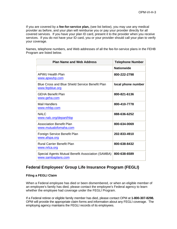If you are covered by a **fee-for-service plan,** (see list below), you may use any medical provider as before, and your plan will reimburse you or pay your provider directly for all covered services. If you have your plan ID card, present it to the provider when you receive services. If you do not have your ID card, you or your provider should call your plan to verify your coverage.

Names, telephone numbers, and Web addresses of all the fee-for-service plans in the FEHB Program are listed below.

| <b>Plan Name and Web Address</b>                                        | <b>Telephone Number</b> |
|-------------------------------------------------------------------------|-------------------------|
|                                                                         | <b>Nationwide</b>       |
| APWU Health Plan<br><u>www.apwuhp.com</u>                               | 800-222-2798            |
| Blue Cross and Blue Shield Service Benefit Plan<br>www.fepblue.org      | local phone number      |
| <b>GEHA Benefit Plan</b><br>www.geha.com                                | 800-821-6136            |
| <b>Mail Handlers</b><br>www.mhbp.com                                    | 800-410-7778            |
| <b>NALC</b><br>www.nalc.org/depart/hbp                                  | 888-636-6252            |
| <b>Association Benefit Plan</b><br>www.mutualofomaha.com                | 800-634-0069            |
| Foreign Service Benefit Plan<br>www.afspa.org                           | 202-833-4910            |
| <b>Rural Carrier Benefit Plan</b><br>www.nrlca.org                      | 800-638-8432            |
| Special Agents Mutual Benefit Association (SAMBA)<br>www.sambaplans.com | 800-638-6589            |

# **Federal Employees' Group Life Insurance Program (FEGLI)**

### **Filing a FEGLI Claim**

When a Federal employee has died or been dismembered, or when an eligible member of an employee's family has died, please contact the employee's Federal agency to learn whether the employee had coverage under the FEGLI Program.

If a Federal retiree or eligible family member has died, please contact OPM at **1-800-307-8298.** OPM will provide the appropriate claim forms and information about any FEGLI coverage. The employing agency maintains the FEGLI records of its employees.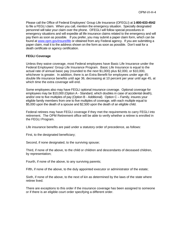Please call the Office of Federal Employees' Group Life Insurance (OFEGLI) at **1-800-633-4542** to file a FEGLI claim. When you call, mention the emergency situation. Specially designated personnel will take your claim over the phone. OFEGLI will follow special procedures in emergency situations and will expedite all life insurance claims related to the emergency and will pay them as soon as possible. If you prefer, you may submit a paper claim form, which can be found at [www.opm.gov/insure/life](http://www.opm.gov/insure/life) or obtained from any Federal agency. If you are submitting a paper claim, mail it to the address shown on the form as soon as possible. Don't wait for a death certificate or agency certification.

### **FEGLI Coverage**

Unless they waive coverage, most Federal employees have Basic Life Insurance under the Federal Employees' Group Life Insurance Program. Basic Life Insurance is equal to the actual rate of annual basic pay (rounded to the next \$1,000) plus \$2,000, or \$10,000, whichever is greater. In addition, there is an Extra Benefit for employees under age 45: double life insurance benefits until age 36, decreasing at 10 percent per year until age 45, at which time the extra coverage will end.

Some employees also may have FEGLI optional insurance coverage. Optional coverage for employees may be \$10,000 (Option A - Standard, which doubles in case of accidental death), and/or one to five multiples of pay (Option B - Additional). Option C – Family, insures your eligible family members from one to five multiples of coverage, with each multiple equal to \$5,000 upon the death of a spouse and \$2,500 upon the death of an eligible child.

Federal retirees may have FEGLI coverage if they met the requirements to carry FEGLI into retirement. The OPM Retirement office will be able to verify whether a retiree is enrolled in the FEGLI Program.

Life insurance benefits are paid under a statutory order of precedence, as follows:

First, to the designated beneficiary;

Second, if none designated, to the surviving spouse;

Third, if none of the above, to the child or children and descendants of deceased children, by representation;

Fourth, if none of the above, to any surviving parents;

Fifth, if none of the above, to the duly appointed executor or administrator of the estate;

Sixth, if none of the above, to the next of kin as determined by the laws of the state where retiree lived.

There are exceptions to this order if the insurance coverage has been assigned to someone or if there is an eligible court order specifying a different order.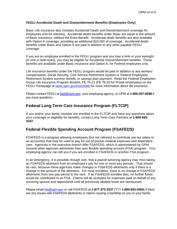### **FEGLI Accidental Death and Dismemberment Benefits (Employees Only)**

Basic Life Insurance also includes Accidental Death and Dismemberment coverage for employees (not for retirees). Accidental death benefits under Basic are equal to the amount of Basic Insurance, without the Extra Benefit. Accidental death benefits are also available with Option A coverage, providing an additional \$10,000 of coverage. Accidental death benefits under Basic and Option A are paid in addition to any other payable FEGLI coverage.

If you are an employee enrolled in the FEGLI program and you lose a limb or your eyesight (in one or both eyes), you may be eligible for Accidental Dismemberment benefits. These benefits are available under Basic Insurance and Option A, for Federal employees only.

Life insurance benefits under the FEGLI program would be paid in addition to any workers' compensation, Social Security, Civil Service Retirement System or Federal Employees Retirement System survivor benefit, or savings plan payment. Read the Federal Employees Group Life Insurance Program Booklet, FE 76-21 (FE 76-20 for Postal employees) on the FEGLI homepage at [www.opm.gov/insure/life](http://www.opm.gov/insure/life) for more information about life insurance.

Please contact FEGLI at [fegli@opm.gov,](mailto:fegli@opm.gov) your employing agency, or OPM at **1-800-307-8298** if you have questions.

# **Federal Long Term Care Insurance Program (FLTCIP)**

If you and/or your family member are enrolled in the FLTCIP and have any questions about your coverage or eligibility for benefits, contact Long Term Care Partners at **1-800-582- 3337**.

# **Federal Flexible Spending Account Program (FSAFEDS)**

FSAFEDS is a program allowing employees (but not retirees) to contribute pre-tax salary to an account(s) that may be used to pay for out-of-pocket medical expenses and dependent care. Agencies in the executive branch offer FSAFEDS, which is administered by OPM. Several other agencies administer their own flexible spending account (FSA) program. Your employing agency can tell you if you are enrolled in FSAFEDS or another FSA program.

In an emergency, it is possible, though rare, that a payroll servicing agency may miss taking an FSAFEDS allotment from an employee's pay for one or more pay periods. That should be rare, because these agencies make changes in FSAFEDS allotments only if there is a change in the amount of the allotment. For most enrollees, there is no change in FSAFEDS allotments from one pay period to the next. If an FSAFEDS enrollee dies, no further funds would be contributed to an FSA. Claims will be accepted for expenses paid on behalf of any surviving spouse and dependents until all previously allotted funds are reimbursed.

Please email [fsa@opm.gov](mailto:fsa@opm.gov) or call FSAFEDS at **1-877-372-3337** (TTY **1-800-952-0450**) if there are any issues with FSAFEDS allotments or claims causing a hardship on you or your family.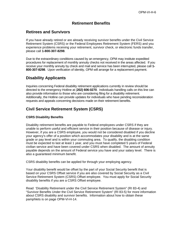# **Retirement Benefits**

# **Retirees and Survivors**

If you have already retired or are already receiving survivor benefits under the Civil Service Retirement System (CSRS) or the Federal Employees Retirement System (FERS) and you experience problems receiving your retirement, survivor check, or electronic funds transfer, please call **1-800-307-8298**.

Due to the extraordinary conditions caused by an emergency, OPM may institute expedited procedures for replacement of monthly annuity checks not received in the areas affected. If you receive your monthly annuity by check and mail and service has been interrupted, please call **1- 800-307-8298**. Upon verification of identity, OPM will arrange for a replacement payment.

# **Disability Applicants**

Inquiries concerning Federal disability retirement applications currently in review should be directed to the emergency Hotline at (**202) 606-0270**. Individuals handling calls on this line can also provide information to those who are considering filing for a disability retirement. Additionally, the Hotline can provide updates for individuals who have pending reconsideration requests and appeals concerning decisions made on their retirement benefits.

# **Civil Service Retirement System (CSRS)**

### **CSRS Disability Benefits**

Disability retirement benefits are payable to Federal employees under CSRS if they are unable to perform useful and efficient service in their position because of disease or injury. However, if you are a CSRS employee, you would not be considered disabled if you decline your agency's offer of a position which accommodates your disability and is at the same grade or pay level and is within your commuting area. To qualify, the disabling condition must be expected to last at least 1 year, and you must have completed 5 years of Federal civilian service and have been covered under CSRS when disabled. The amount of annuity payable depends on the amount of Federal service you have and your salary level. There is also a guaranteed minimum benefit.

CSRS disability benefits can be applied for through your employing agency.

Your disability benefit would be offset by the part of your Social Security benefit that is based on your CSRS Offset service if you are also covered by Social Security as a Civil Service Retirement System (CSRS) Offset employee. You must apply for Social Security disability benefits if you are a CSRS Offset employee.

Read 'Disability Retirement under the Civil Service Retirement System" (RI 83-4) and "Survivor Benefits Under the Civil Service Retirement System" (RI 83-5) for more information about CSRS disability and survivor benefits. Information about how to obtain these pamphlets is on page OPM-VI-H-14.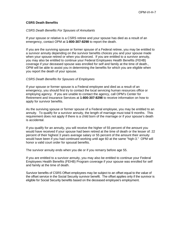#### **CSRS Death Benefits**

### *CSRS Death Benefits For Spouses of Annuitants*

If your spouse or relative is a CSRS retiree and your spouse has died as a result of an emergency, contact OPM at **1-800-307-8298** to report the death.

If you are the surviving spouse or former spouse of a Federal retiree, you may be entitled to a survivor annuity depending on the survivor benefits choices you and your spouse made when your spouse retired or when you divorced. If you are entitled to a survivor annuity, you may also be entitled to continue your Federal Employees Health Benefits (FEHB) coverage if your deceased spouse was enrolled for self and family at the time of death., OPM will be able to assist you in determining the benefits for which you are eligible when you report the death of your spouse.

#### *CSRS Death Benefits for Spouses of Employees*

If your spouse or former spouse is a Federal employee and died as a result of an emergency, you should first try to contact the local servicing human resources office or employing agency. If you are unable to contact the agency, call OPM's Center for Retirement and Insurance Services at **1-800-307-8298** to receive information on how to apply for survivor benefits.

As the surviving spouse or former spouse of a Federal employee, you may be entitled to an annuity. To qualify for a survivor annuity, the length of marriage must total 9 months. This requirement does not apply if there is a child born of the marriage or if your spouse's death is accidental.

If you qualify for an annuity, you will receive the higher of 55 percent of the amount you would have received if your spouse had been retired at the time of death or the lesser of: 22 percent of their highest 3 years average salary or 55 percent of the amount their annuity would have been if you had continued working until age 60 at the same "high-3." OPM will honor a valid court order for spousal benefits.

The survivor annuity ends when you die or if you remarry before age 55.

If you are entitled to a survivor annuity, you may also be entitled to continue your Federal Employees Health Benefits (FEHB) Program coverage if your spouse was enrolled for self and family at the time of death.

Survivor benefits of CSRS Offset employees may be subject to an offset equal to the value of the offset service in the Social Security survivor benefit. The offset applies only if the survivor is eligible for Social Security benefits based on the deceased employee's employment.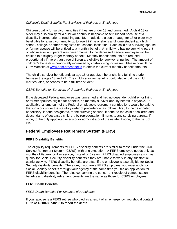### *Children's Death Benefits For Survivors of Retirees or Employees*

Children qualify for survivor annuities if they are under 18 and unmarried. A child 18 or older may also qualify for a survivor annuity if incapable of self support because of a disability incurred prior to reaching age 18. In addition, a son or daughter 18 or older may be eligible for a survivor annuity up to age 22 if he or she is a full-time student at a high school, college, or other recognized educational institution. Each child of a surviving spouse or former spouse will be entitled to a monthly benefit. A child who has no surviving parent or whose surviving parent was never married to the deceased Federal employee will be entitled to a slightly larger monthly benefit. Monthly benefit amounts are reduced proportionally if more than three children are eligible for survivor annuities. The amount of children's benefits is periodically increased by cost-of-living increases. Please consult the OPM Website at [www.opm.gov/benefits](http://www.opm.gov/benefits) to obtain the current monthly benefit amounts.

The child's survivor benefit ends at age 18 or age 22, if he or she is a full time student between the ages 18 and 22. The child's survivor benefits could also end if the child marries, dies, or ceases to be a full time student.

#### *CSRS Benefits for Survivors of Unmarried Retirees or Employees*

If the deceased Federal employee was unmarried and had no dependent children or living or former spouses eligible for benefits, no monthly survivor annuity benefit is payable. If applicable, a lump sum of the Federal employee's retirement contributions would be paid to the survivors under the statutory order of precedence, as follows: first, to the designated beneficiary; if none designated, to the surviving spouse; if none, to the child or children and descendants of deceased children, by representation; if none, to any surviving parents; if none, to the duly appointed executor or administrator of the estate; if none, to the next of kin.

# **Federal Employees Retirement System (FERS)**

### **FERS Disability Benefits**

The eligibility requirements for FERS disability benefits are similar to those under the Civil Service Retirement System (CSRS), with one exception: A FERS employee needs only 18 months of Federal civilian service, instead of 5 years. FERS disabled employees also may qualify for Social Security disability benefits if they are unable to work in any substantial gainful activity. FERS disability benefits are offset if the employee is also eligible for Social Security disability benefits. Therefore, if you are a FERS employee, you must apply for Social Security benefits through your agency at the same time you file an application for FERS disability benefits. The rules concerning the concurrent receipt of compensation benefits and disability retirement benefits are the same as those for CSRS employees.

#### **FERS Death Benefits**

#### *FERS Death Benefits For Spouses of Annuitants*

If your spouse is a FERS retiree who died as a result of an emergency, you should contact OPM at **1-800-307-8298** to report the death.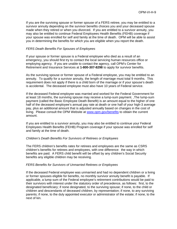If you are the surviving spouse or former spouse of a FERS retiree, you may be entitled to a survivor annuity depending on the survivor benefits choices you and your deceased spouse made when they retired or when you divorced. If you are entitled to a survivor annuity, you may also be entitled to continue Federal Employees Health Benefits (FEHB) coverage if your spouse was enrolled for self and family at the time of death. OPM will be able to assist you in determining the benefits for which you are eligible when you report the death.

#### *FERS Death Benefits For Spouses of Employees*

If your spouse or former spouse is a Federal employee who died as a result of an emergency, you should first try to contact the local servicing human resources office or employing agency. If you are unable to contact the agency, call OPM's Center for Retirement and Insurance Services at **1-800-307-8298** to apply for survivor benefits.

As the surviving spouse or former spouse of a Federal employee, you may be entitled to an annuity. To qualify for a survivor annuity, the length of marriage must total 9 months. This requirement does not apply if there is a child born of the marriage or if your spouse's death is accidental. The deceased employee must also have 10 years of Federal service.

If the deceased Federal employee was married and worked for the Federal Government for at least 18 months, the surviving spouse may receive a lump-sum payment. ,The lump-sum payment (called the Basic Employee Death Benefit) is an amount equal to the higher of one half of the deceased employee's annual pay rate at death or one half of your high-3 average pay, plus an additional amount that is adjusted annually based on changes in the cost of living. Please consult the OPM Website at [www.opm.gov/benefits](http://www.opm.gov/benefits) to obtain the current amount.

If you are entitled to a survivor annuity, you may also be entitled to continue your Federal Employees Health Benefits (FEHB) Program coverage if your spouse was enrolled for self and family at the time of death.

#### *Children's Death Benefits For Survivors of Retirees or Employees*

The FERS children's benefits rates for retirees and employees are the same as CSRS children's benefits for retirees and employees, with one difference: the way in which benefits are paid. A FERS child benefit will be offset by any children's Social Security benefits any eligible children may be receiving.

#### *FERS Benefits for Survivors of Unmarried Retirees or Employees*

If the deceased Federal employee was unmarried and had no dependent children or a living or former spouses eligible for benefits, no monthly survivor annuity benefit is payable. If applicable, a lump sum of the Federal employee's retirement contributions would be paid to their survivors with interest under the statutory order of precedence, as follows: first, to the designated beneficiary; if none designated, to the surviving spouse; if none, to the child or children and descendants of deceased children, by representation; if none, to any surviving parents; if none, to the duly appointed executor or administrator of the estate; if none, to the next of kin.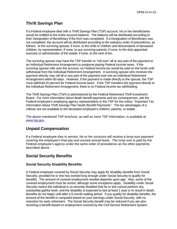# **Thrift Savings Plan**

If a Federal employee died with a Thrift Savings Plan (TSP) account, his or her beneficiaries would be entitled to the entire account balance. The balance will be distributed according to their Designation of Beneficiary if the form was completed. If a Designation of Beneficiary was not completed, the account will be distributed according to the statutory order of precedence, as follows: to the surviving spouse; if none, to the child or children and descendants of deceased children, by representation; if none, to any surviving parents; if none, to the duly appointed executor or administrator of the estate; if none, to the next of kin.

The surviving spouse may have the TSP transfer or "roll over" all or any part of the payment to an Individual Retirement Arrangement to postpone paying Federal income taxes. If the surviving spouse rolls over the account, no Federal income tax would be paid on the funds until withdrawal from the Individual Retirement Arrangement. A surviving spouse who receives the payment directly may roll all or any part of the payment over into an Individual Retirement Arrangement within 60 days. However, if the payment is made directly to the spouse, the TSP must withhold 20 percent for Federal income taxes. If the TSP transfers the payment directly to the Individual Retirement Arrangement, there is no Federal income tax withholding.

The Thrift Savings Plan (TSP) is administered by the Federal Retirement Thrift Investment Board. For more information about death benefit payments and tax consequences, ask the Federal employee's employing agency representative or the TSP for the notice, "Important Tax Information About Thrift Savings Plan Death Benefit Payments." The tax advantages of a rollover are not available to the deceased employee's children, parents, or estate.

The above mentioned TSP brochure, as well as more TSP information, is available at [www.tsp.gov](http://www.tsp.gov/).

# **Unpaid Compensation**

If a Federal employee dies in service, his or her survivors will receive a lump-sum payment covering the employee's final pay and unused annual leave. The lump sum is paid by the Federal employee's agency under the same order of precedence as the other payments described above.

# **Social Security Benefits**

### **Social Security Disability Benefits**

A Federal employee covered by Social Security may apply for disability benefits from Social Security, provided he or she has worked long enough under Social Security to qualify for benefits. The amount of covered employment needed depends upon age. Also, some of the covered employment must be recent, although some exceptions apply. Disability under Social Security means the individual is so severely disabled that he or she cannot perform any substantial gainful work, and the disability is expected to last at least 1 year or to result in death. Benefits do not begin until after a 5-month waiting period. If you qualify for disability benefits, the amount of the benefit is computed based on your earnings under Social Security, with no reduction for early retirement. The Social Security benefit may be reduced if you are also receiving a benefit based on employment covered by the Civil Service Retirement System.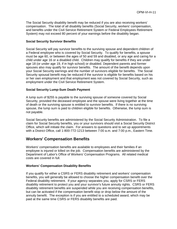The Social Security disability benefit may be reduced if you are also receiving workers' compensation. The total of all disability benefits (Social Security, workers' compensation, and benefits under the Civil Service Retirement System or Federal Employees Retirement System) may not exceed 80 percent of your earnings before the disability began.

### **Social Security Survivor Benefits**

Social Security will pay survivor benefits to the surviving spouse and dependent children of a Federal employee who is covered by Social Security. To qualify for benefits, a spouse must be age 60, or between the ages of 50 and 59 and disabled, or any age and caring for a child under age 16 or a disabled child. Children may qualify for benefits if they are under age 18 (or under age 19, if in high school) or disabled. Dependent parents and former spouses also may qualify for survivor benefits. The amount of the benefit depends upon your Social Security earnings and the number of survivors eligible for benefits. The Social Security spousal benefit may be reduced if the survivor is eligible for benefits based on his or her own employment and that employment was not covered by Social Security, such as employment under the Civil Service Retirement System.

### **Social Security Lump-Sum Death Payment**

A lump sum of \$255 is payable to the surviving spouse of someone covered by Social Security, provided the deceased employee and the spouse were living together at the time of death or the surviving spouse is entitled to survivor benefits. If there is no surviving spouse, the lump sum is paid to children eligible for benefits. Otherwise, the lump sum is not payable.

Social Security benefits are administered by the Social Security Administration. To file a claim for Social Security benefits, you or your survivors should visit a Social Security District Office, which will initiate the claim. For answers to questions and to set up appointments with a District Office, call 1-800-772-1213 between 7:00 a.m. and 7:00 p.m., Eastern Time.

## **Workers' Compensation Benefits**

Workers' compensation benefits are available to employees and their families if an employee is injured or killed on the job. Compensation benefits are administered by the Department of Labor's Office of Workers' Compensation Programs. All related medical costs are covered in full.

#### **Workers' Compensation Disability Benefits**

If you qualify for either a CSRS or FERS disability retirement and workers' compensation benefits, you will generally be allowed to choose the higher compensation benefit over the Federal disability retirement. If your agency separates you, apply for CSRS or FERS disability retirement to protect you and your survivor's future annuity rights. CSRS or FERS disability retirement benefits are suspended while you are receiving compensation benefits, but can be activated if the compensation benefit stop or drop below the amount of the annuity benefit. The exception is if you are entitled to a scheduled award, which may be paid at the same time CSRS or FERS disability benefits are paid.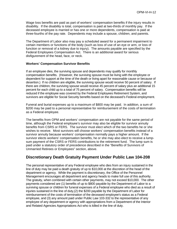Wage loss benefits are paid as part of workers' compensation benefits if the injury results in disability. If the disability is total, compensation is paid at two-thirds of monthly pay. If the deceased employee is married or has one or more dependents, compensation is paid at three-fourths of the pay rate. Dependents may include a spouse, children, and parents.

The Department of Labor also may pay a scheduled award for a permanent impairment to certain members or functions of the body (such as loss of use of an eye or arm, or loss of function or removal of a kidney due to injury). The amounts payable are specified by the Federal Employees Compensation Act. There is an additional award for serious disfigurement of the head, face, or neck.

#### **Workers' Compensation Survivor Benefits**

If an employee dies, the surviving spouse and dependents may qualify for monthly compensation benefits. (However, the surviving spouse must be living with the employee or dependent for support at the time of the death or living apart for reasonable cause or because of desertion.) If no children are eligible, the surviving spouse would receive 50 percent of salary. If there are children, the surviving spouse would receive 45 percent of salary plus an additional 15 percent for each child up to a total of 75 percent of salary. Compensation benefits will be reduced if the employee was covered by the Federal Employees Retirement System, and survivors are eligible for Social Security benefits based on the deceased's Federal employment.

Funeral and burial expenses up to a maximum of \$800 may be paid. In addition, a sum of \$200 may be paid to a personal representative for reimbursement of the costs of termination as a Federal employee.

The benefits from OPM and workers' compensation are not payable for the same period of time, although the Federal employee's survivor may also be eligible for survivor annuity benefits from CSRS or FERS. The survivor must elect which of the two benefits he or she wishes to receive. Most survivors will choose workers' compensation benefits instead of a survivor annuity because workers' compensation normally pays a higher amount. If the survivor elects workers' compensation benefits, he or she may also elect to receive a lumpsum payment of the CSRS or FERS contributions to the retirement fund. The lump sum is paid under a statutory order of precedence described in the "Benefits of Survivors of Unmarried Retirees or Employees" section, above.

# **Discretionary Death Gratuity Payment Under Public Law 104-208**

The personal representative of any Federal employee who dies from an injury sustained in the line of duty may be paid a death gratuity of up to \$10,000 at the discretion of the head of the department or agency. While the payment is discretionary, the Office of the Personnel Management encourages all department and agency heads to make full use of this authority. The gratuity, when combined with certain other payments, may not exceed \$10,000. The other payments considered are (1) benefits of up to \$800 payable by the Department of Labor to a surviving spouse or children for funeral expenses of a Federal employee who died as a result of injuries sustained in the line of duty,(2) the \$200 payable by the Department of Labor for reimbursement of the costs of termination of the deceased employee's status as a Federal employee, and (3) any amount paid under Public Law 103-332 to the representative of any employee of any department or agency with appropriations from a Department of the Interior and Related Agencies Appropriations Act who is killed in the line of duty.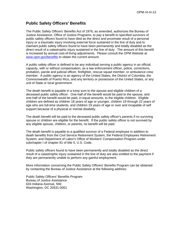# **Public Safety Officers' Benefits**

The Public Safety Officers' Benefits Act of 1976, as amended, authorizes the Bureau of Justice Assistance, Office of Justice Programs, to pay a benefit to specified survivors of public safety officers found to have died as the direct and proximate result of a personal injury or a traumatic injury involving external force sustained in the line of duty and to claimant public safety officers found to have been permanently and totally disabled as the direct result of a catastrophic injury sustained in the line of duty. The amount of this benefit is increased by annual cost-of-living adjustments. Please consult the OPM Website at [www.opm.gov/benefits](http://www.opm.gov/benefits) to obtain the current amount.

A public safety officer is defined to be any individual serving a public agency in an official capacity, with or without compensation, as a law enforcement officer, police, corrections, probation, parole and judicial officer, firefighter, rescue squad member, or ambulance crew member. A public agency is an agency of the United States, the District of Columbia, the Commonwealth of Puerto Rico, and any territory or possession of the United States, or any unit of State or local government.

The death benefit is payable in a lump sum to the spouse and eligible children of a deceased public safety officer. One-half of the benefit would be paid to the spouse, and one-half of the benefit would be paid, in equal amounts, to the eligible children. Eligible children are defined as children 18 years of age or younger, children 19 through 22 years of age who are full-time students, and children 19 years of age or over and incapable of self support because of a physical or mental disability.

The death benefit will be paid to the deceased public safety officer's parents if no surviving spouse or children are eligible for the benefit. If the public safety officer is not survived by any eligible spouse, children, or parents, no benefit will be paid.

The death benefit is payable to a qualified survivor of a Federal employee in addition to death benefits from the Civil Service Retirement System, the Federal Employees Retirement System, and Department of Labor's Office of Workers' Compensation Program under subchapter I of chapter 81 of title 5, U.S. Code.

Public safety officers found to have been permanently and totally disabled as the direct result of a catastrophic injury sustained in the line of duty are also entitled to the payment if they are permanently unable to perform any gainful employment.

More information concerning the Public Safety Officers' Benefits Program can be obtained by contacting the Bureau of Justice Assistance at the following address:

Public Safety Officers' Benefits Program Bureau of Justice Assistance 633 Indiana Avenue, NW. Washington, DC 20531-0001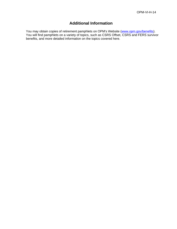# **Additional Information**

You may obtain copies of retirement pamphlets on OPM's Website [\(www.opm.gov/benefits\)](http://www.opm.gov/benefits). You will find pamphlets on a variety of topics, such as CSRS Offset, CSRS and FERS survivor benefits, and more detailed information on the topics covered here.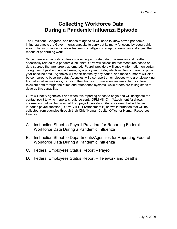# **Collecting Workforce Data During a Pandemic Influenza Episode**

The President, Congress, and heads of agencies will need to know how a pandemic influenza affects the Government's capacity to carry out its many functions by geographic area. That information will allow leaders to intelligently redeploy resources and adjust the means of performing work.

Since there are major difficulties in collecting accurate data on absences and deaths specifically related to a pandemic influenza, OPM will collect indirect measures based on data sources that are largely automated. Payroll providers will supply information on certain categories of paid and unpaid leave, by agency and State, which will be compared to prioryear baseline data. Agencies will report deaths by any cause, and those numbers will also be compared to baseline data. Agencies will also report on employees who are teleworking from alternative worksites, including their homes. Some agencies are able to capture telework data through their time and attendance systems, while others are taking steps to develop this capability.

OPM will notify agencies if and when this reporting needs to begin and will designate the contact point to which reports should be sent. OPM-VIII-C-1 (Attachment A) shows information that will be collected from payroll providers. (In rare cases that will be an in-house payroll function.) OPM VIII-D-1 (Attachment B) shows information that will be collected from agencies through their Chief Human Capital Officer or Human Resources Director.

- A. Instruction Sheet to Payroll Providers for Reporting Federal Workforce Data During a Pandemic Influenza
- B. Instruction Sheet to Departments/Agencies for Reporting Federal Workforce Data During a Pandemic Influenza
- C. Federal Employees Status Report Payroll
- D. Federal Employees Status Report Telework and Deaths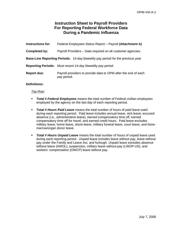# **Instruction Sheet to Payroll Providers For Reporting Federal Workforce Data During a Pandemic Influenza**

| <b>Instructions for:</b>                                                             | Federal Employees Status Report - Payroll (Attachment A)                      |  |
|--------------------------------------------------------------------------------------|-------------------------------------------------------------------------------|--|
| Completed by:                                                                        | Payroll Providers - Data required on all customer agencies.                   |  |
| <b>Base-Line Reporting Periods:</b> 14-day biweekly pay period for the previous year |                                                                               |  |
|                                                                                      | <b>Reporting Periods:</b> Most recent 14-day biweekly pay period              |  |
| <b>Report due:</b>                                                                   | Payroll providers to provide data to OPM after the end of each<br>pay period. |  |

### **Definitions:**

#### *Top Row:*

- *Total # Federal Employees* means the total number of Federal civilian employees employed by the agency on the last day of each reporting period.
- *Total # Hours Paid Leave* means the total number of hours of paid leave used during each reporting period. Paid leave includes annual leave, sick leave, excused absence (i.e., administrative leave), earned compensatory time off, earned compensatory time off for travel, and earned credit hours. Paid leave excludes military leave, home leave, shore leave, military funeral leave, court leave, and bonemarrow/organ donor leave.
- *Total # Hours Unpaid Leave* means the total number of hours of unpaid leave used during each reporting period. Unpaid leave includes leave without pay, leave without pay under the Family and Leave Act, and furlough. Unpaid leave excludes absence without leave (AWOL), suspension, military leave without pay (LWOP-US), and workers' compensation (OWCP) leave without pay.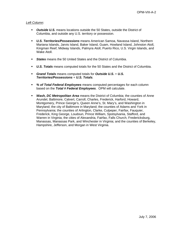### *Left Column:*

- *Outside U.S.* means locations outside the 50 States, outside the District of Columbia, and outside any U.S. territory or possession.
- *U.S. Territories/Possessions* means American Samoa, Navassa Island, Northern Mariana Islands, Jarvis Island, Baker Island, Guam, Howland Island, Johnston Atoll, Kingman Reef, Midway Islands, Palmyra Atoll, Puerto Rico, U.S. Virgin Islands, and Wake Atoll.
- *States* means the 50 United States and the District of Columbia.
- *U.S. Totals* means computed totals for the 50 States and the District of Columbia.
- *Grand Totals* means computed totals for *Outside U.S***.** + *U.S. Territories/Possessions* + *U.S. Totals.*
- *% of Total Federal Employees* means computed percentages for each column based on the *Total # Federal Employees*. OPM will calculate.
- *Wash, DC Metropolitan Area* means the District of Columbia; the counties of Anne Arundel, Baltimore, Calvert, Carroll, Charles, Frederick, Harford, Howard, Montgomery, Prince George's, Queen Anne's, St. Mary's, and Washington in Maryland; the city of Baltimore in Maryland; the counties of Adams and York in Pennsylvania; the counties of Arlington, Clarke, Culpeper, Fairfax, Fauquier, Frederick, King George, Loudoun, Prince William, Spotsylvania, Stafford, and Warren in Virginia; the cities of Alexandria, Fairfax, Falls Church, Fredericksburg, Manassas, Manassas Park, and Winchester in Virginia; and the counties of Berkeley, Hampshire, Jefferson, and Morgan in West Virginia.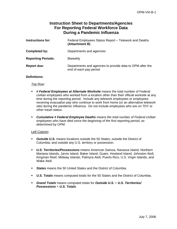# **Instruction Sheet to Departments/Agencies For Reporting Federal Workforce Data During a Pandemic Influenza**

| <b>Instructions for:</b>  | Federal Employees Status Report - Telework and Deaths<br>(Attachment B)             |  |
|---------------------------|-------------------------------------------------------------------------------------|--|
| Completed by:             | Departments and agencies                                                            |  |
| <b>Reporting Periods:</b> | <b>Biweekly</b>                                                                     |  |
| <b>Report due:</b>        | Departments and agencies to provide data to OPM after the<br>end of each pay period |  |

### **Definitions:**

#### *Top Row:*

- *# Federal Employees at Alternate Worksite* means the total number of Federal civilian employees who worked from a location other than their official worksite at any time during the reporting period. Include any telework employees or employees receiving evacuation pay who continue to work from home (or an alternative telework site) during the pandemic influenza. Do not include employees who are on TDY or other travel status.
- *Cumulative # Federal Employee Deaths means the total number of Federal civilian employees who have died since the beginning of the first reporting period, as determined by OPM.*

#### *Left Column:*

- *Outside U.S.* means locations outside the 50 States, outside the District of Columbia, and outside any U.S. territory or possession.
- *U.S. Territories/Possessions* means American Samoa, Navassa Island, Northern Mariana Islands, Jarvis Island, Baker Island, Guam, Howland Island, Johnston Atoll, Kingman Reef, Midway Islands, Palmyra Atoll, Puerto Rico, U.S. Virgin Islands, and Wake Atoll.
- *States* means the 50 United States and the District of Columbia.
- *U.S. Totals* means computed totals for the 50 States and the District of Columbia.
- *Grand Totals* means computed totals for *Outside U.S***.** + *U.S. Territories/ Possessions* + *U.S. Totals.*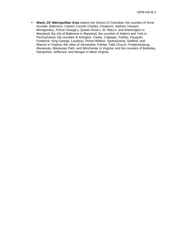*Wash, DC Metropolitan Area* means the District of Columbia; the counties of Anne Arundel, Baltimore, Calvert, Carroll, Charles, Frederick, Harford, Howard, Montgomery, Prince George's, Queen Anne's, St. Mary's, and Washington in Maryland; the city of Baltimore in Maryland; the counties of Adams and York in Pennsylvania; the counties of Arlington, Clarke, Culpeper, Fairfax, Fauquier, Frederick, King George, Loudoun, Prince William, Spotsylvania, Stafford, and Warren in Virginia; the cities of Alexandria, Fairfax, Falls Church, Fredericksburg, Manassas, Manassas Park, and Winchester in Virginia; and the counties of Berkeley, Hampshire, Jefferson, and Morgan in West Virginia.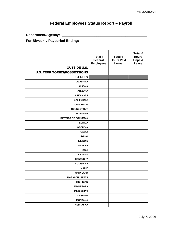## **Federal Employees Status Report – Payroll**

**Department/Agency: \_\_\_\_\_\_\_\_\_\_\_\_\_\_\_\_\_\_\_\_\_\_\_\_\_\_\_\_\_\_\_\_\_\_\_\_\_\_\_\_\_\_\_\_** 

**For Biweekly Payperiod Ending: \_\_\_\_\_\_\_\_\_\_\_\_\_\_\_\_\_\_\_\_\_\_\_\_\_\_\_\_\_\_\_\_\_\_** 

|                                     | Total #<br>Federal<br><b>Employees</b> | Total #<br><b>Hours Paid</b><br>Leave | Total #<br><b>Hours</b><br><b>Unpaid</b><br>Leave |
|-------------------------------------|----------------------------------------|---------------------------------------|---------------------------------------------------|
| <b>OUTSIDE U.S.</b>                 |                                        |                                       |                                                   |
| <b>U.S. TERRITORIES/POSSESSIONS</b> |                                        |                                       |                                                   |
| <b>STATES</b>                       |                                        |                                       |                                                   |
| <b>ALABAMA</b>                      |                                        |                                       |                                                   |
| <b>ALASKA</b>                       |                                        |                                       |                                                   |
| <b>ARIZONA</b>                      |                                        |                                       |                                                   |
| <b>ARKANSAS</b>                     |                                        |                                       |                                                   |
| <b>CALIFORNIA</b>                   |                                        |                                       |                                                   |
| <b>COLORADO</b>                     |                                        |                                       |                                                   |
| <b>CONNECTICUT</b>                  |                                        |                                       |                                                   |
| <b>DELAWARE</b>                     |                                        |                                       |                                                   |
| <b>DISTRICT OF COLUMBIA</b>         |                                        |                                       |                                                   |
| <b>FLORIDA</b>                      |                                        |                                       |                                                   |
| <b>GEORGIA</b>                      |                                        |                                       |                                                   |
| <b>HAWAII</b>                       |                                        |                                       |                                                   |
| <b>IDAHO</b>                        |                                        |                                       |                                                   |
| <b>ILLINOIS</b>                     |                                        |                                       |                                                   |
| <b>INDIANA</b>                      |                                        |                                       |                                                   |
| <b>IOWA</b>                         |                                        |                                       |                                                   |
| <b>KANSAS</b>                       |                                        |                                       |                                                   |
| <b>KENTUCKY</b>                     |                                        |                                       |                                                   |
| <b>LOUISIANA</b>                    |                                        |                                       |                                                   |
| <b>MAINE</b>                        |                                        |                                       |                                                   |
| <b>MARYLAND</b>                     |                                        |                                       |                                                   |
| <b>MASSACHUSETTS</b>                |                                        |                                       |                                                   |
| <b>MICHIGAN</b>                     |                                        |                                       |                                                   |
| <b>MINNESOTA</b>                    |                                        |                                       |                                                   |
| <b>MISSISSIPPI</b>                  |                                        |                                       |                                                   |
| <b>MISSOURI</b>                     |                                        |                                       |                                                   |
| <b>MONTANA</b>                      |                                        |                                       |                                                   |
| <b>NEBRASKA</b>                     |                                        |                                       |                                                   |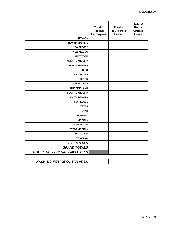|                              | Total #<br><b>Federal</b><br><b>Employees</b> | Total #<br><b>Hours Paid</b><br>Leave | Total #<br><b>Hours</b><br><b>Unpaid</b><br>Leave |
|------------------------------|-----------------------------------------------|---------------------------------------|---------------------------------------------------|
| <b>NEVADA</b>                |                                               |                                       |                                                   |
| <b>NEW HAMPSHIRE</b>         |                                               |                                       |                                                   |
| <b>NEW JERSEY</b>            |                                               |                                       |                                                   |
| <b>NEW MEXICO</b>            |                                               |                                       |                                                   |
| <b>NEW YORK</b>              |                                               |                                       |                                                   |
| <b>NORTH CAROLINA</b>        |                                               |                                       |                                                   |
| <b>NORTH DAKOTA</b>          |                                               |                                       |                                                   |
| <b>OHIO</b>                  |                                               |                                       |                                                   |
| <b>OKLAHOMA</b>              |                                               |                                       |                                                   |
| <b>OREGON</b>                |                                               |                                       |                                                   |
| <b>PENNSYLVANIA</b>          |                                               |                                       |                                                   |
| <b>RHODE ISLAND</b>          |                                               |                                       |                                                   |
| <b>SOUTH CAROLINA</b>        |                                               |                                       |                                                   |
| <b>SOUTH DAKOTA</b>          |                                               |                                       |                                                   |
| <b>TENNESSEE</b>             |                                               |                                       |                                                   |
| <b>TEXAS</b>                 |                                               |                                       |                                                   |
| <b>UTAH</b>                  |                                               |                                       |                                                   |
| <b>VERMONT</b>               |                                               |                                       |                                                   |
| <b>VIRGINIA</b>              |                                               |                                       |                                                   |
| <b>WASHINGTON</b>            |                                               |                                       |                                                   |
| <b>WEST VIRGINIA</b>         |                                               |                                       |                                                   |
| <b>WISCONSIN</b>             |                                               |                                       |                                                   |
| <b>WYOMING</b>               |                                               |                                       |                                                   |
| <b>U.S. TOTALS</b>           |                                               |                                       |                                                   |
| <b>GRAND TOTALS</b>          |                                               |                                       |                                                   |
| % OF TOTAL FEDERAL EMPLOYEES |                                               |                                       |                                                   |
|                              |                                               |                                       |                                                   |

| <b>WASH, DC METROPOLITAN AREA</b> |  |  |
|-----------------------------------|--|--|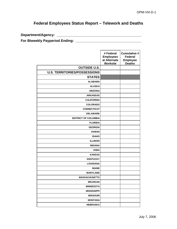## **Federal Employees Status Report – Telework and Deaths**

**Department/Agency: \_\_\_\_\_\_\_\_\_\_\_\_\_\_\_\_\_\_\_\_\_\_\_\_\_\_\_\_\_\_\_\_\_\_\_\_\_\_\_\_\_\_\_\_** 

**For Biweekly Payperiod Ending: \_\_\_\_\_\_\_\_\_\_\_\_\_\_\_\_\_\_\_\_\_\_\_\_\_\_\_\_\_\_\_\_\_\_** 

|                                     | # Federal<br><b>Employees</b><br>at Alternate<br><b>Worksite</b> | <b>Cumulative #</b><br><b>Federal</b><br><b>Employee</b><br><b>Deaths</b> |
|-------------------------------------|------------------------------------------------------------------|---------------------------------------------------------------------------|
| <b>OUTSIDE U.S.</b>                 |                                                                  |                                                                           |
| <b>U.S. TERRITORIES/POSSESSIONS</b> |                                                                  |                                                                           |
| <b>STATES</b>                       |                                                                  |                                                                           |
| <b>ALABAMA</b>                      |                                                                  |                                                                           |
| <b>ALASKA</b>                       |                                                                  |                                                                           |
| <b>ARIZONA</b>                      |                                                                  |                                                                           |
| <b>ARKANSAS</b>                     |                                                                  |                                                                           |
| <b>CALIFORNIA</b>                   |                                                                  |                                                                           |
| <b>COLORADO</b>                     |                                                                  |                                                                           |
| <b>CONNECTICUT</b>                  |                                                                  |                                                                           |
| <b>DELAWARE</b>                     |                                                                  |                                                                           |
| <b>DISTRICT OF COLUMBIA</b>         |                                                                  |                                                                           |
| <b>FLORIDA</b>                      |                                                                  |                                                                           |
| <b>GEORGIA</b>                      |                                                                  |                                                                           |
| <b>HAWAII</b>                       |                                                                  |                                                                           |
| <b>IDAHO</b>                        |                                                                  |                                                                           |
| <b>ILLINOIS</b>                     |                                                                  |                                                                           |
| <b>INDIANA</b>                      |                                                                  |                                                                           |
| <b>IOWA</b>                         |                                                                  |                                                                           |
| <b>KANSAS</b>                       |                                                                  |                                                                           |
| <b>KENTUCKY</b>                     |                                                                  |                                                                           |
| <b>LOUISIANA</b>                    |                                                                  |                                                                           |
| <b>MAINE</b>                        |                                                                  |                                                                           |
| <b>MARYLAND</b>                     |                                                                  |                                                                           |
| <b>MASSACHUSETTS</b>                |                                                                  |                                                                           |
| <b>MICHIGAN</b>                     |                                                                  |                                                                           |
| <b>MINNESOTA</b>                    |                                                                  |                                                                           |
| <b>MISSISSIPPI</b>                  |                                                                  |                                                                           |
| <b>MISSOURI</b>                     |                                                                  |                                                                           |
| <b>MONTANA</b>                      |                                                                  |                                                                           |
| <b>NEBRASKA</b>                     |                                                                  |                                                                           |